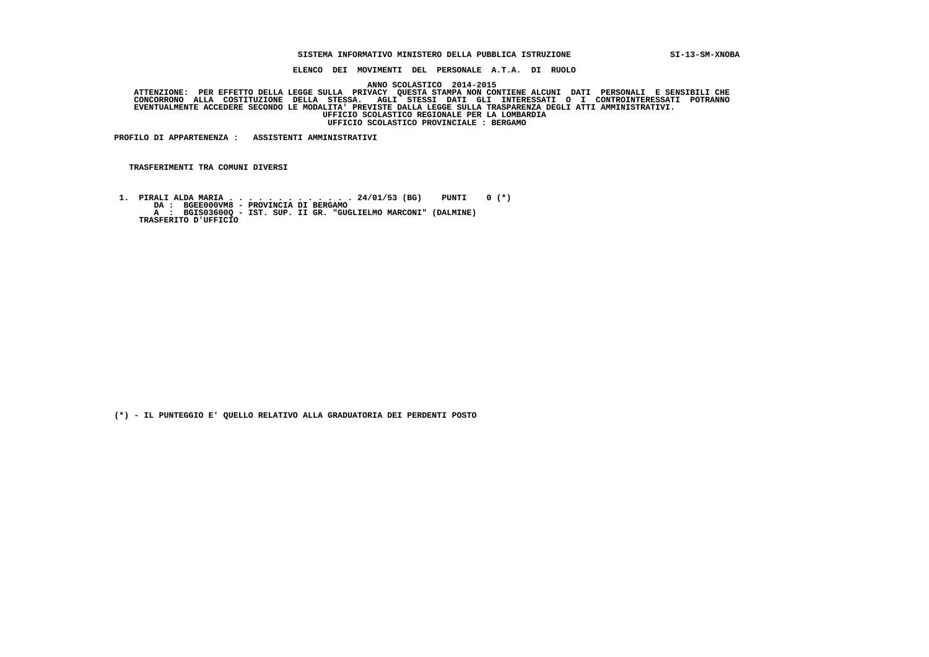#### **SISTEMA INFORMATIVO MINISTERO DELLA PUBBLICA ISTRUZIONE SI-13-SM-XNOBA**

 **ELENCO DEI MOVIMENTI DEL PERSONALE A.T.A. DI RUOLO**

 **ANNO SCOLASTICO 2014-2015**

ATTENZIONE: PER EFFETTO DELLA LEGGE SULLA PRIVACY QUESTA STAMPA NON CONTIENE ALCUNI DATI PERSONALI E SENSIBILI<br>CONCORRONO ALLA COSTITUZIONE DELLA STESSA. AGLI STESSI DATI GLI INTERESSATI O I CONTROINTERESSATI POTRANNO  **EVENTUALMENTE ACCEDERE SECONDO LE MODALITA' PREVISTE DALLA LEGGE SULLA TRASPARENZA DEGLI ATTI AMMINISTRATIVI. UFFICIO SCOLASTICO REGIONALE PER LA LOMBARDIA UFFICIO SCOLASTICO PROVINCIALE : BERGAMO**

 **PROFILO DI APPARTENENZA : ASSISTENTI AMMINISTRATIVI**

 **TRASFERIMENTI TRA COMUNI DIVERSI**

 **1. PIRALI ALDA MARIA . . . . . . . . . . . . . 24/01/53 (BG) PUNTI 0 (\*) DA : BGEE000VM8 - PROVINCIA DI BERGAMO A : BGIS03600Q - IST. SUP. II GR. "GUGLIELMO MARCONI" (DALMINE) TRASFERITO D'UFFICIO**

 **(\*) - IL PUNTEGGIO E' QUELLO RELATIVO ALLA GRADUATORIA DEI PERDENTI POSTO**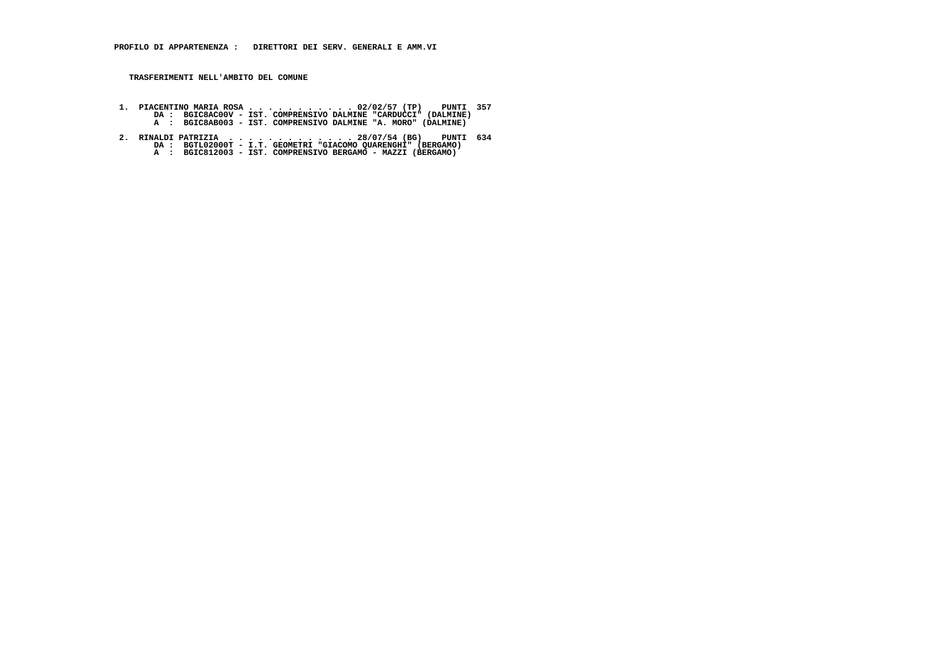- **1. PIACENTINO MARIA ROSA . . . . . . . . . . . 02/02/57 (TP) PUNTI 357 DA : BGIC8AC00V IST. COMPRENSIVO DALMINE "CARDUCCI" (DALMINE) A : BGIC8AB003 IST. COMPRENSIVO DALMINE "A. MORO" (DALMINE)**
- **2. RINALDI PATRIZIA . . . . . . . . . . . . . 28/07/54 (BG) PUNTI 634 DA : BGTL02000T I.T. GEOMETRI "GIACOMO QUARENGHI" (BERGAMO) A : BGIC812003 IST. COMPRENSIVO BERGAMO MAZZI (BERGAMO)**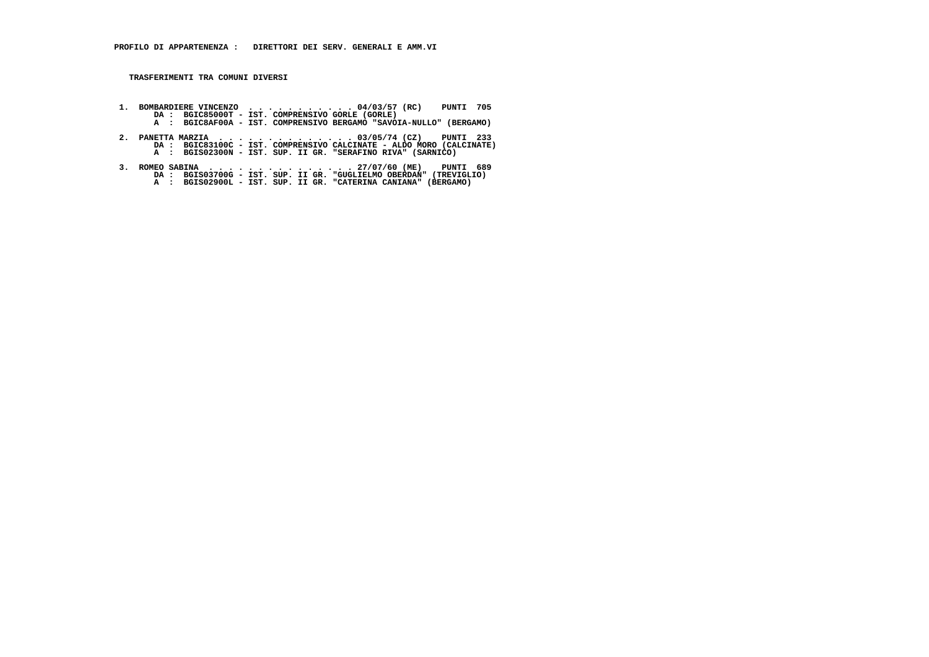- **1. BOMBARDIERE VINCENZO . . . . . . . . . . . 04/03/57 (RC) PUNTI 705 DA : BGIC85000T IST. COMPRENSIVO GORLE (GORLE) A : BGIC8AF00A IST. COMPRENSIVO BERGAMO "SAVOIA-NULLO" (BERGAMO)**
- **2. PANETTA MARZIA . . . . . . . . . . . . . . 03/05/74 (CZ) PUNTI 233 DA : BGIC83100C IST. COMPRENSIVO CALCINATE ALDO MORO (CALCINATE) A : BGIS02300N IST. SUP. II GR. "SERAFINO RIVA" (SARNICO)**
- **3. ROMEO SABINA . . . . . . . . . . . . . . . 27/07/60 (ME) PUNTI 689 DA : BGIS03700G IST. SUP. II GR. "GUGLIELMO OBERDAN" (TREVIGLIO) A : BGIS02900L IST. SUP. II GR. "CATERINA CANIANA" (BERGAMO)**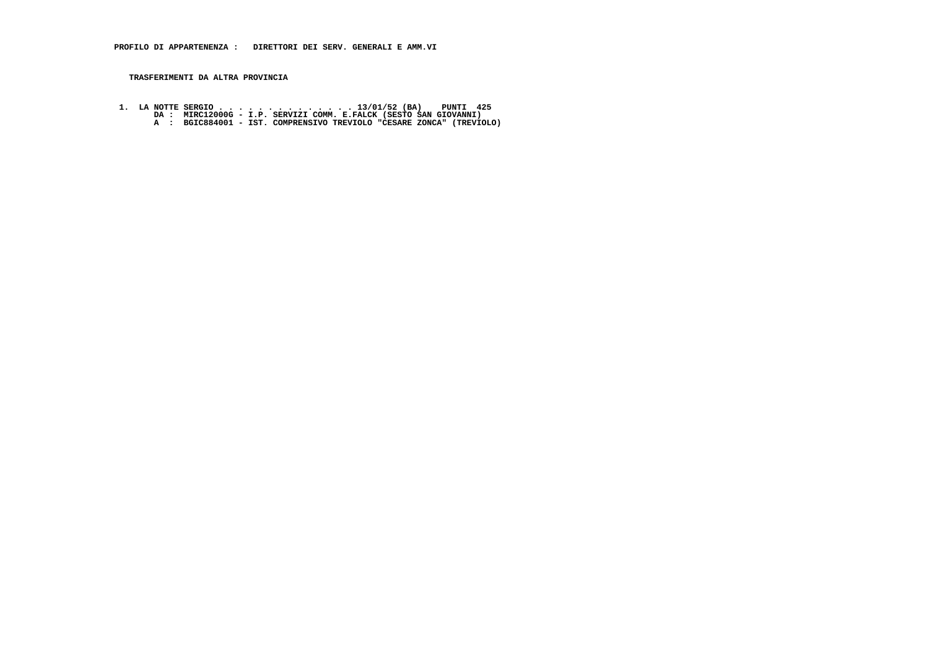# **TRASFERIMENTI DA ALTRA PROVINCIA**

1. LA NOTTE SERGIO . . . . . . . . . . . . . . . . . 13/01/52 (BA) PUNTI 425<br>DA : MIRC12000G - I.P. SERVIZI COMM. E.FALCK (SESTO SAN GIOVANNI)<br>A : BGIC884001 - IST. COMPRENSIVO TREVIOLO "CESARE ZONCA" (TREVIOLO)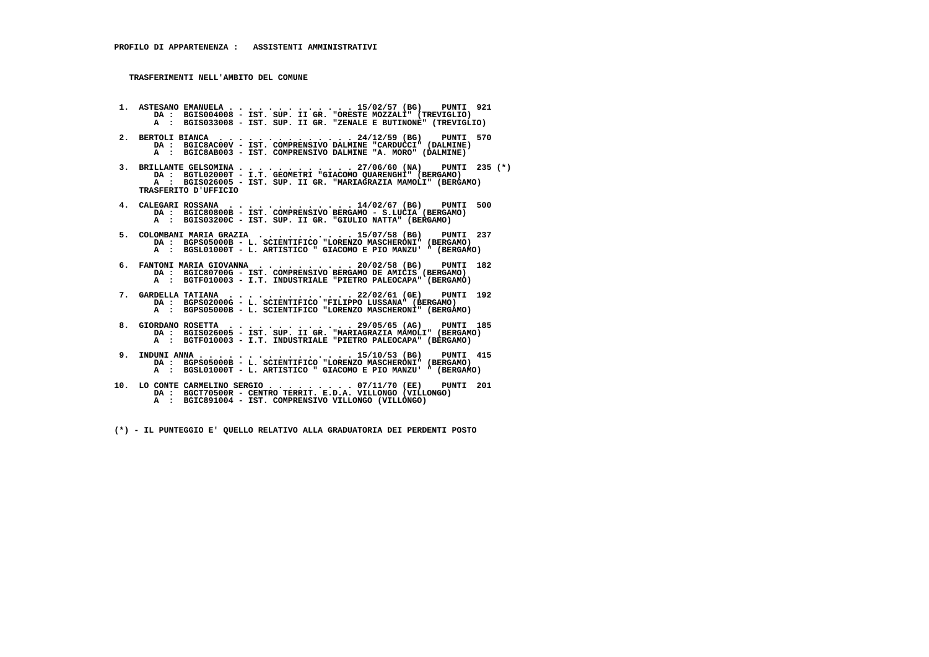- **1. ASTESANO EMANUELA . . . . . . . . . . . . . 15/02/57 (BG) PUNTI 921 DA : BGIS004008 IST. SUP. II GR. "ORESTE MOZZALI" (TREVIGLIO) A : BGIS033008 IST. SUP. II GR. "ZENALE E BUTINONE" (TREVIGLIO)**
- **2. BERTOLI BIANCA . . . . . . . . . . . . . . 24/12/59 (BG) PUNTI 570 DA : BGIC8AC00V - IST. COMPRENSIVO DALMINE "CARDUCCI" (DALMINE) A : BGIC8AB003 - IST. COMPRENSIVO DALMINE "A. MORO" (DALMINE)**
- **3. BRILLANTE GELSOMINA . . . . . . . . . . . . 27/06/60 (NA) PUNTI 235 (\*) DA : BGTL02000T I.T. GEOMETRI "GIACOMO QUARENGHI" (BERGAMO) A : BGIS026005 - IST. SUP. II GR. "MARIAGRAZIA MAMOLI" (BERGAMO) TRASFERITO D'UFFICIO**
- **4. CALEGARI ROSSANA . . . . . . . . . . . . . 14/02/67 (BG) PUNTI 500 DA : BGIC80800B IST. COMPRENSIVO BERGAMO S.LUCIA (BERGAMO) A : BGIS03200C - IST. SUP. II GR. "GIULIO NATTA" (BERGAMO)**
- **5. COLOMBANI MARIA GRAZIA . . . . . . . . . . 15/07/58 (BG) PUNTI 237 DA : BGPS05000B - L. SCIENTIFICO "LORENZO MASCHERONI" (BERGAMO) A : BGSL01000T - L. ARTISTICO " GIACOMO E PIO MANZU' " (BERGAMO)**
- **6. FANTONI MARIA GIOVANNA . . . . . . . . . . 20/02/58 (BG) PUNTI 182 DA : BGIC80700G IST. COMPRENSIVO BERGAMO DE AMICIS (BERGAMO) A : BGTF010003 - I.T. INDUSTRIALE "PIETRO PALEOCAPA" (BERGAMO)**
- **7. GARDELLA TATIANA . . . . . . . . . . . . . 22/02/61 (GE) PUNTI 192 DA : BGPS02000G L. SCIENTIFICO "FILIPPO LUSSANA" (BERGAMO) A : BGPS05000B - L. SCIENTIFICO "LORENZO MASCHERONI" (BERGAMO)**
- **8. GIORDANO ROSETTA . . . . . . . . . . . . . 29/05/65 (AG) PUNTI 185 DA : BGIS026005 IST. SUP. II GR. "MARIAGRAZIA MAMOLI" (BERGAMO)A : BGTF010003 - I.T. INDUSTRIALE "PIETRO PALEOCAPA" (BERGAMO)**
- **9. INDUNI ANNA . . . . . . . . . . . . . . . . 15/10/53 (BG) PUNTI 415 DA : BGPS05000B L. SCIENTIFICO "LORENZO MASCHERONI" (BERGAMO) A : BGSL01000T - L. ARTISTICO " GIACOMO E PIO MANZU' " (BERGAMO)**
- **10. LO CONTE CARMELINO SERGIO . . . . . . . . . 07/11/70 (EE) PUNTI 201 DA : BGCT70500R CENTRO TERRIT. E.D.A. VILLONGO (VILLONGO) A : BGIC891004 - IST. COMPRENSIVO VILLONGO (VILLONGO)**

 **(\*) - IL PUNTEGGIO E' QUELLO RELATIVO ALLA GRADUATORIA DEI PERDENTI POSTO**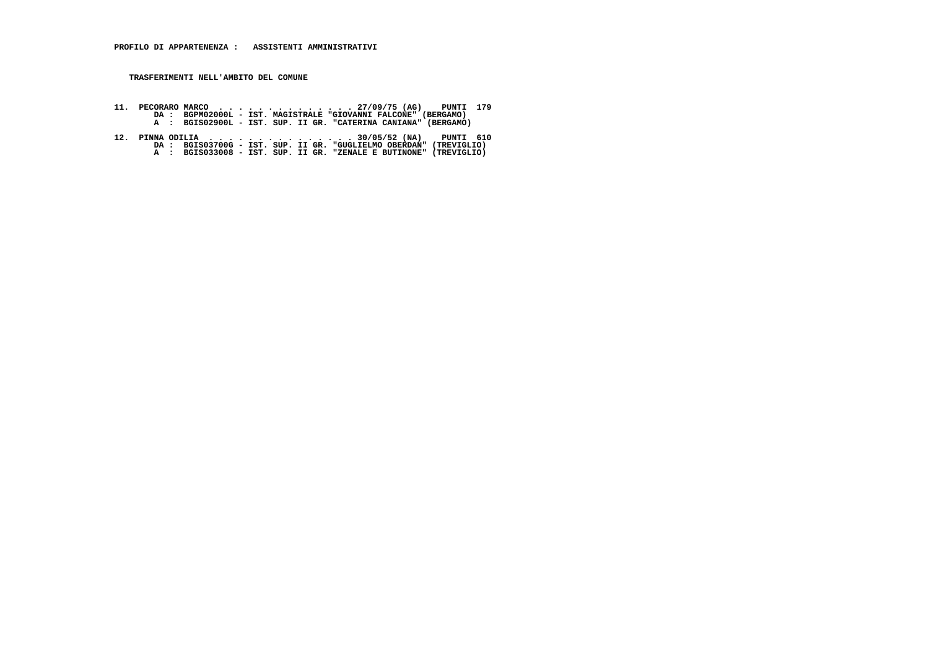- **11. PECORARO MARCO . . . . . . . . . . . . . . 27/09/75 (AG) PUNTI 179 DA : BGPM02000L IST. MAGISTRALE "GIOVANNI FALCONE" (BERGAMO) A : BGIS02900L IST. SUP. II GR. "CATERINA CANIANA" (BERGAMO)**
- 12. PINNA ODILIA ..................30/05/52 (NA) PUNTI 610<br>DA : BGIS03700G IST. SUP. II GR. "GUGLIELMO OBERDAN" (TREVIGLIO)<br>A : BGIS033008 IST. SUP. II GR. "ZENALE E BUTINONE" (TREVIGLIO)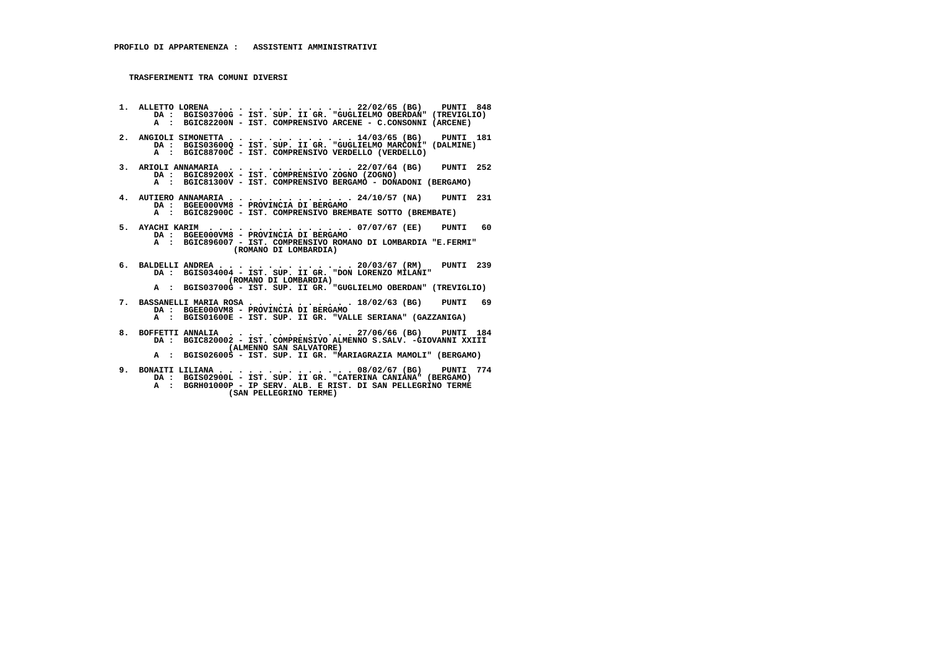**1. ALLETTO LORENA . . . . . . . . . . . . . . 22/02/65 (BG) PUNTI 848 DA : BGIS03700G - IST. SUP. II GR. "GUGLIELMO OBERDAN" (TREVIGLIO) A : BGIC82200N - IST. COMPRENSIVO ARCENE - C.CONSONNI (ARCENE) 2. ANGIOLI SIMONETTA . . . . . . . . . . . . . 14/03/65 (BG) PUNTI 181 DA : BGIS03600Q - IST. SUP. II GR. "GUGLIELMO MARCONI" (DALMINE) A : BGIC88700C - IST. COMPRENSIVO VERDELLO (VERDELLO) 3. ARIOLI ANNAMARIA . . . . . . . . . . . . . 22/07/64 (BG) PUNTI 252 DA : BGIC89200X - IST. COMPRENSIVO ZOGNO (ZOGNO) A : BGIC81300V - IST. COMPRENSIVO BERGAMO - DONADONI (BERGAMO) 4. AUTIERO ANNAMARIA . . . . . . . . . . . . . 24/10/57 (NA) PUNTI 231 DA : BGEE000VM8 - PROVINCIA DI BERGAMO A : BGIC82900C - IST. COMPRENSIVO BREMBATE SOTTO (BREMBATE) 5. AYACHI KARIM . . . . . . . . . . . . . . . 07/07/67 (EE) PUNTI 60 DA : BGEE000VM8 - PROVINCIA DI BERGAMO A : BGIC896007 - IST. COMPRENSIVO ROMANO DI LOMBARDIA "E.FERMI" (ROMANO DI LOMBARDIA) 6. BALDELLI ANDREA . . . . . . . . . . . . . . 20/03/67 (RM) PUNTI 239 DA : BGIS034004 - IST. SUP. II GR. "DON LORENZO MILANI" (ROMANO DI LOMBARDIA) A : BGIS03700G - IST. SUP. II GR. "GUGLIELMO OBERDAN" (TREVIGLIO) 7. BASSANELLI MARIA ROSA . . . . . . . . . . . 18/02/63 (BG) PUNTI 69 DA : BGEE000VM8 - PROVINCIA DI BERGAMO A : BGIS01600E - IST. SUP. II GR. "VALLE SERIANA" (GAZZANIGA) 8. BOFFETTI ANNALIA . . . . . . . . . . . . . 27/06/66 (BG) PUNTI 184 DA : BGIC820002 - IST. COMPRENSIVO ALMENNO S.SALV. -GIOVANNI XXIII (ALMENNO SAN SALVATORE) A : BGIS026005 - IST. SUP. II GR. "MARIAGRAZIA MAMOLI" (BERGAMO)**

 **9. BONAITI LILIANA . . . . . . . . . . . . . . 08/02/67 (BG) PUNTI 774 DA : BGIS02900L - IST. SUP. II GR. "CATERINA CANIANA" (BERGAMO) A : BGRH01000P - IP SERV. ALB. E RIST. DI SAN PELLEGRINO TERME (SAN PELLEGRINO TERME)**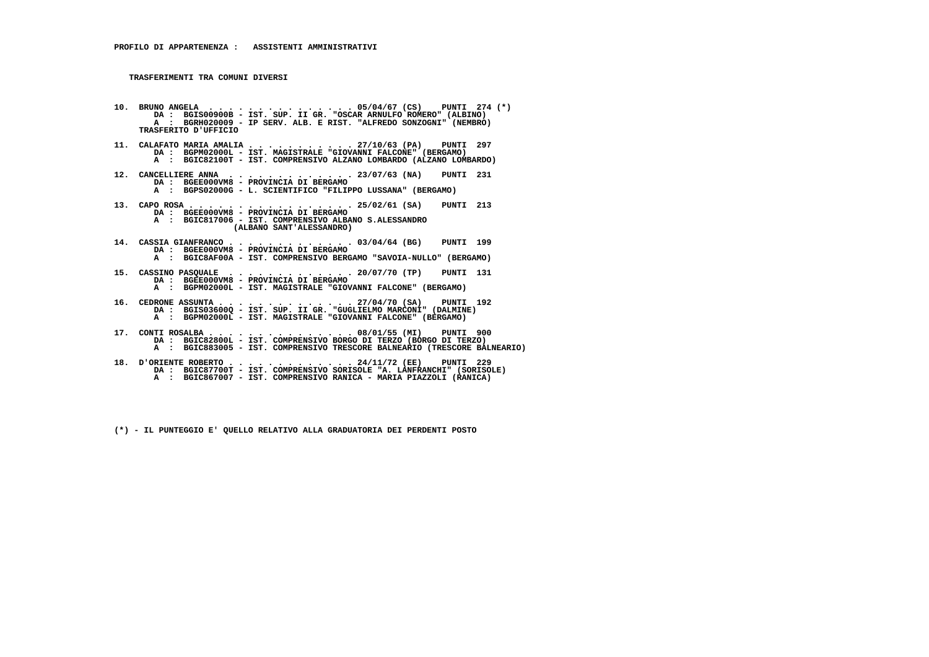**10. BRUNO ANGELA . . . . . . . . . . . . . . . 05/04/67 (CS) PUNTI 274 (\*) DA : BGIS00900B - IST. SUP. II GR. "OSCAR ARNULFO ROMERO" (ALBINO) A : BGRH020009 - IP SERV. ALB. E RIST. "ALFREDO SONZOGNI" (NEMBRO) TRASFERITO D'UFFICIO 11. CALAFATO MARIA AMALIA . . . . . . . . . . . 27/10/63 (PA) PUNTI 297 DA : BGPM02000L - IST. MAGISTRALE "GIOVANNI FALCONE" (BERGAMO) A : BGIC82100T - IST. COMPRENSIVO ALZANO LOMBARDO (ALZANO LOMBARDO) 12. CANCELLIERE ANNA . . . . . . . . . . . . . 23/07/63 (NA) PUNTI 231 DA : BGEE000VM8 - PROVINCIA DI BERGAMO A : BGPS02000G - L. SCIENTIFICO "FILIPPO LUSSANA" (BERGAMO) 13. CAPO ROSA . . . . . . . . . . . . . . . . . 25/02/61 (SA) PUNTI 213 DA : BGEE000VM8 - PROVINCIA DI BERGAMO A : BGIC817006 - IST. COMPRENSIVO ALBANO S.ALESSANDRO (ALBANO SANT'ALESSANDRO) 14. CASSIA GIANFRANCO . . . . . . . . . . . . . 03/04/64 (BG) PUNTI 199 DA : BGEE000VM8 - PROVINCIA DI BERGAMO A : BGIC8AF00A - IST. COMPRENSIVO BERGAMO "SAVOIA-NULLO" (BERGAMO) 15. CASSINO PASQUALE . . . . . . . . . . . . . 20/07/70 (TP) PUNTI 131 DA : BGEE000VM8 - PROVINCIA DI BERGAMO A : BGPM02000L - IST. MAGISTRALE "GIOVANNI FALCONE" (BERGAMO) 16. CEDRONE ASSUNTA . . . . . . . . . . . . . . 27/04/70 (SA) PUNTI 192 DA : BGIS03600Q - IST. SUP. II GR. "GUGLIELMO MARCONI" (DALMINE) A : BGPM02000L - IST. MAGISTRALE "GIOVANNI FALCONE" (BERGAMO) 17. CONTI ROSALBA . . . . . . . . . . . . . . . 08/01/55 (MI) PUNTI 900 DA : BGIC82800L - IST. COMPRENSIVO BORGO DI TERZO (BORGO DI TERZO) A : BGIC883005 - IST. COMPRENSIVO TRESCORE BALNEARIO (TRESCORE BALNEARIO) 18. D'ORIENTE ROBERTO . . . . . . . . . . . . . 24/11/72 (EE) PUNTI 229 DA : BGIC87700T - IST. COMPRENSIVO SORISOLE "A. LANFRANCHI" (SORISOLE) A : BGIC867007 - IST. COMPRENSIVO RANICA - MARIA PIAZZOLI (RANICA)**

 **(\*) - IL PUNTEGGIO E' QUELLO RELATIVO ALLA GRADUATORIA DEI PERDENTI POSTO**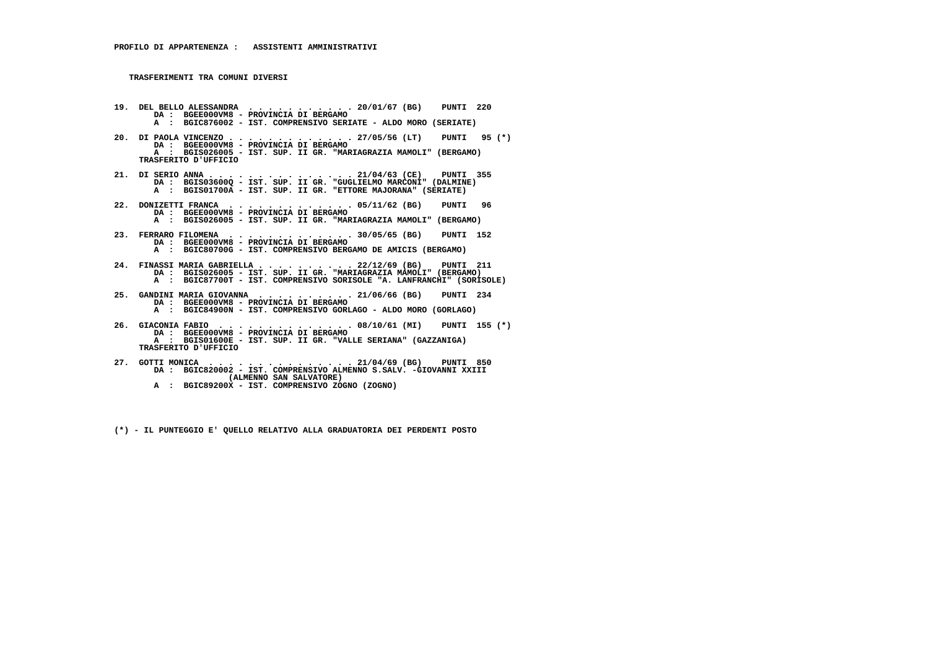- **19. DEL BELLO ALESSANDRA . . . . . . . . . . . 20/01/67 (BG) PUNTI 220 DA : BGEE000VM8 - PROVINCIA DI BERGAMO A : BGIC876002 - IST. COMPRENSIVO SERIATE - ALDO MORO (SERIATE)**
- **20. DI PAOLA VINCENZO . . . . . . . . . . . . . 27/05/56 (LT) PUNTI 95 (\*) DA : BGEE000VM8 - PROVINCIA DI BERGAMO A : BGIS026005 - IST. SUP. II GR. "MARIAGRAZIA MAMOLI" (BERGAMO) TRASFERITO D'UFFICIO**
- **21. DI SERIO ANNA . . . . . . . . . . . . . . . 21/04/63 (CE) PUNTI 355 DA : BGIS03600Q IST. SUP. II GR. "GUGLIELMO MARCONI" (DALMINE) A : BGIS01700A IST. SUP. II GR. "ETTORE MAJORANA" (SERIATE)**
- **22. DONIZETTI FRANCA . . . . . . . . . . . . . 05/11/62 (BG) PUNTI 96 DA : BGEE000VM8 - PROVINCIA DI BERGAMO A : BGIS026005 - IST. SUP. II GR. "MARIAGRAZIA MAMOLI" (BERGAMO)**
- **23. FERRARO FILOMENA . . . . . . . . . . . . . 30/05/65 (BG) PUNTI 152 DA : BGEE000VM8 - PROVINCIA DI BERGAMO A : BGIC80700G - IST. COMPRENSIVO BERGAMO DE AMICIS (BERGAMO)**
- **24. FINASSI MARIA GABRIELLA . . . . . . . . . . 22/12/69 (BG) PUNTI 211 DA : BGIS026005 IST. SUP. II GR. "MARIAGRAZIA MAMOLI" (BERGAMO) A : BGIC87700T - IST. COMPRENSIVO SORISOLE "A. LANFRANCHI" (SORISOLE)**
- **25. GANDINI MARIA GIOVANNA . . . . . . . . . . 21/06/66 (BG) PUNTI 234 DA : BGEE000VM8 - PROVINCIA DI BERGAMO A : BGIC84900N - IST. COMPRENSIVO GORLAGO - ALDO MORO (GORLAGO)**
- **26. GIACONIA FABIO . . . . . . . . . . . . . . 08/10/61 (MI) PUNTI 155 (\*) DA : BGEE000VM8 - PROVINCIA DI BERGAMO A : BGIS01600E - IST. SUP. II GR. "VALLE SERIANA" (GAZZANIGA) TRASFERITO D'UFFICIO**
- **27. GOTTI MONICA . . . . . . . . . . . . . . . 21/04/69 (BG) PUNTI 850 DA : BGIC820002 IST. COMPRENSIVO ALMENNO S.SALV. -GIOVANNI XXIII (ALMENNO SAN SALVATORE) A : BGIC89200X - IST. COMPRENSIVO ZOGNO (ZOGNO)**
	- **(\*) IL PUNTEGGIO E' QUELLO RELATIVO ALLA GRADUATORIA DEI PERDENTI POSTO**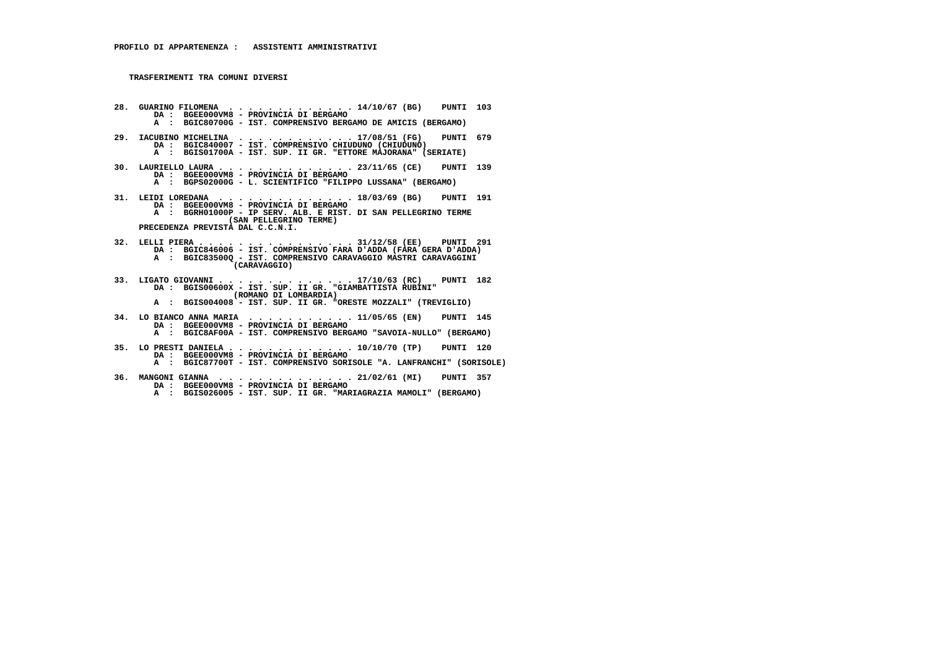- **28. GUARINO FILOMENA . . . . . . . . . . . . . 14/10/67 (BG) PUNTI 103 DA : BGEE000VM8 PROVINCIA DI BERGAMO A : BGIC80700G - IST. COMPRENSIVO BERGAMO DE AMICIS (BERGAMO) 29. IACUBINO MICHELINA . . . . . . . . . . . . 17/08/51 (FG) PUNTI 679**DA : BGIC840007 - IST. COMPRENSIVO CHIUDUNO (CHIUDUNO)  **A : BGIS01700A - IST. SUP. II GR. "ETTORE MAJORANA" (SERIATE) 30. LAURIELLO LAURA . . . . . . . . . . . . . . 23/11/65 (CE) PUNTI 139 DA : BGEE000VM8 - PROVINCIA DI BERGAMO A : BGPS02000G - L. SCIENTIFICO "FILIPPO LUSSANA" (BERGAMO) 31. LEIDI LOREDANA . . . . . . . . . . . . . . 18/03/69 (BG) PUNTI 191 DA : BGEE000VM8 - PROVINCIA DI BERGAMO A : BGRH01000P - IP SERV. ALB. E RIST. DI SAN PELLEGRINO TERME (SAN PELLEGRINO TERME) PRECEDENZA PREVISTA DAL C.C.N.I. 32. LELLI PIERA . . . . . . . . . . . . . . . . 31/12/58 (EE) PUNTI 291 DA : BGIC846006 - IST. COMPRENSIVO FARA D'ADDA (FARA GERA D'ADDA) A : BGIC83500Q - IST. COMPRENSIVO CARAVAGGIO MASTRI CARAVAGGINI (CARAVAGGIO) 33. LIGATO GIOVANNI . . . . . . . . . . . . . . 17/10/63 (RC) PUNTI 182 DA : BGIS00600X - IST. SUP. II GR. "GIAMBATTISTA RUBINI" (ROMANO DI LOMBARDIA) A : BGIS004008 - IST. SUP. II GR. "ORESTE MOZZALI" (TREVIGLIO) 34. LO BIANCO ANNA MARIA . . . . . . . . . . . 11/05/65 (EN) PUNTI 145**DA : BGEE000VM8 - PROVINCIA DI BERGAMO  **A : BGIC8AF00A - IST. COMPRENSIVO BERGAMO "SAVOIA-NULLO" (BERGAMO) 35. LO PRESTI DANIELA . . . . . . . . . . . . . 10/10/70 (TP) PUNTI 120 DA : BGEE000VM8 - PROVINCIA DI BERGAMO**
- **A : BGIC87700T IST. COMPRENSIVO SORISOLE "A. LANFRANCHI" (SORISOLE)**
	- **36. MANGONI GIANNA . . . . . . . . . . . . . . 21/02/61 (MI) PUNTI 357 DA : BGEE000VM8 - PROVINCIA DI BERGAMO**
- **A : BGIS026005 IST. SUP. II GR. "MARIAGRAZIA MAMOLI" (BERGAMO)**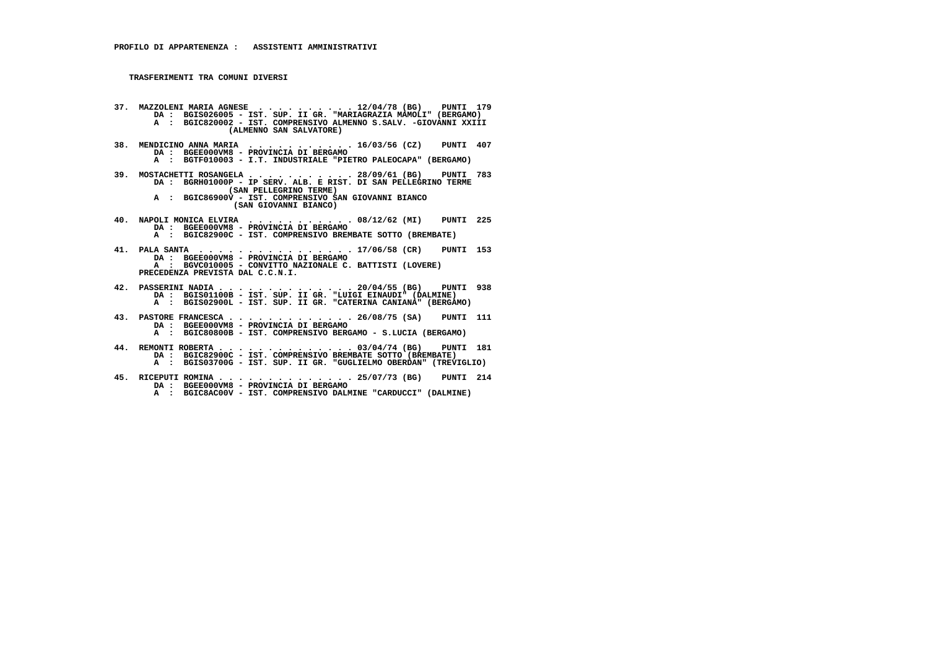- **37. MAZZOLENI MARIA AGNESE . . . . . . . . . . 12/04/78 (BG) PUNTI 179 DA : BGIS026005 IST. SUP. II GR. "MARIAGRAZIA MAMOLI" (BERGAMO) A : BGIC820002 - IST. COMPRENSIVO ALMENNO S.SALV. -GIOVANNI XXIII (ALMENNO SAN SALVATORE)**
	- **38. MENDICINO ANNA MARIA . . . . . . . . . . . 16/03/56 (CZ) PUNTI 407 DA : BGEE000VM8 - PROVINCIA DI BERGAMO**
- **A : BGTF010003 I.T. INDUSTRIALE "PIETRO PALEOCAPA" (BERGAMO)**
- **39. MOSTACHETTI ROSANGELA . . . . . . . . . . . 28/09/61 (BG) PUNTI 783 DA : BGRH01000P IP SERV. ALB. E RIST. DI SAN PELLEGRINO TERME (SAN PELLEGRINO TERME) A : BGIC86900V - IST. COMPRENSIVO SAN GIOVANNI BIANCO**
	- **(SAN GIOVANNI BIANCO)**
- **40. NAPOLI MONICA ELVIRA . . . . . . . . . . . 08/12/62 (MI) PUNTI 225 DA : BGEE000VM8 - PROVINCIA DI BERGAMO A : BGIC82900C - IST. COMPRENSIVO BREMBATE SOTTO (BREMBATE)**
- **41. PALA SANTA . . . . . . . . . . . . . . . . 17/06/58 (CR) PUNTI 153 DA : BGEE000VM8 PROVINCIA DI BERGAMO A : BGVC010005 - CONVITTO NAZIONALE C. BATTISTI (LOVERE) PRECEDENZA PREVISTA DAL C.C.N.I.**
- **42. PASSERINI NADIA . . . . . . . . . . . . . . 20/04/55 (BG) PUNTI 938 DA : BGIS01100B IST. SUP. II GR. "LUIGI EINAUDI" (DALMINE) A : BGIS02900L IST. SUP. II GR. "CATERINA CANIANA" (BERGAMO)**
- **43. PASTORE FRANCESCA . . . . . . . . . . . . . 26/08/75 (SA) PUNTI 111 DA : BGEE000VM8 PROVINCIA DI BERGAMO A : BGIC80800B - IST. COMPRENSIVO BERGAMO - S.LUCIA (BERGAMO)**
- **44. REMONTI ROBERTA . . . . . . . . . . . . . . 03/04/74 (BG) PUNTI 181 DA : BGIC82900C IST. COMPRENSIVO BREMBATE SOTTO (BREMBATE) A : BGIS03700G - IST. SUP. II GR. "GUGLIELMO OBERDAN" (TREVIGLIO)**
	- **45. RICEPUTI ROMINA . . . . . . . . . . . . . . 25/07/73 (BG) PUNTI 214 DA : BGEE000VM8 - PROVINCIA DI BERGAMO**
- **A : BGIC8AC00V IST. COMPRENSIVO DALMINE "CARDUCCI" (DALMINE)**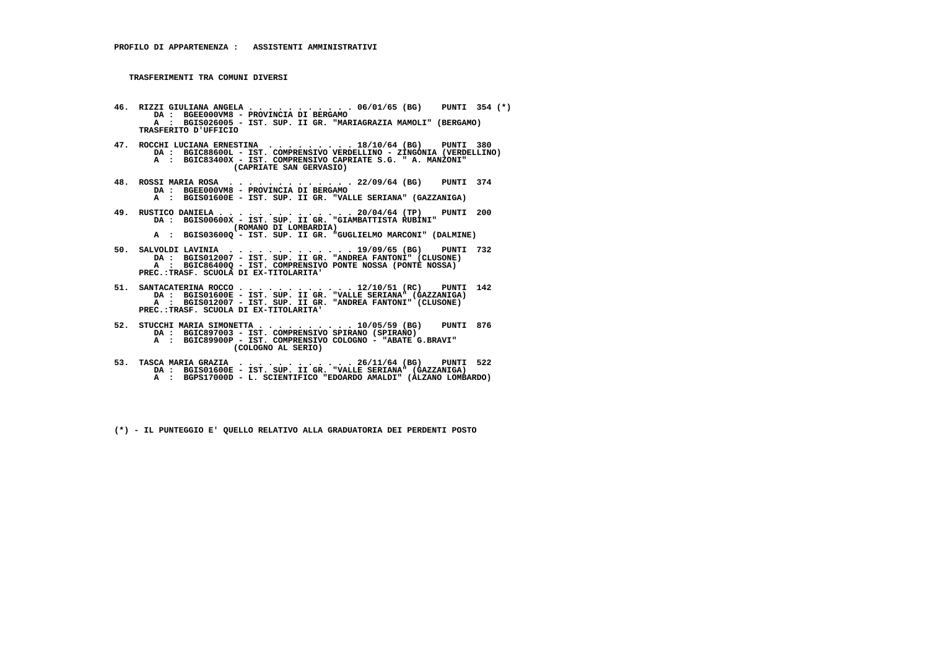- **46. RIZZI GIULIANA ANGELA . . . . . . . . . . . 06/01/65 (BG) PUNTI 354 (\*)**DA : BGEE000VM8 - PROVINCIA DI BERGAMO<br>A : BGIS026005 - IST. SUP. II GR. "MARIAGRAZIA MAMOLI" (BERGAMO)  **TRASFERITO D'UFFICIO**
- **47. ROCCHI LUCIANA ERNESTINA . . . . . . . . . 18/10/64 (BG) PUNTI 380 DA : BGIC88600L IST. COMPRENSIVO VERDELLINO ZINGONIA (VERDELLINO) A : BGIC83400X - IST. COMPRENSIVO CAPRIATE S.G. " A. MANZONI" (CAPRIATE SAN GERVASIO)**
- **48. ROSSI MARIA ROSA . . . . . . . . . . . . . 22/09/64 (BG) PUNTI 374 DA : BGEE000VM8 PROVINCIA DI BERGAMO A : BGIS01600E - IST. SUP. II GR. "VALLE SERIANA" (GAZZANIGA)**
- **49. RUSTICO DANIELA . . . . . . . . . . . . . . 20/04/64 (TP) PUNTI 200 DA : BGIS00600X IST. SUP. II GR. "GIAMBATTISTA RUBINI" (ROMANO DI LOMBARDIA) A : BGIS03600Q - IST. SUP. II GR. "GUGLIELMO MARCONI" (DALMINE)**
- **50. SALVOLDI LAVINIA . . . . . . . . . . . . . 19/09/65 (BG) PUNTI 732 DA : BGIS012007 IST. SUP. II GR. "ANDREA FANTONI" (CLUSONE) A : BGIC86400Q - IST. COMPRENSIVO PONTE NOSSA (PONTE NOSSA) PREC.:TRASF. SCUOLA DI EX-TITOLARITA'**
- **51. SANTACATERINA ROCCO . . . . . . . . . . . . 12/10/51 (RC) PUNTI 142 DA : BGIS01600E IST. SUP. II GR. "VALLE SERIANA" (GAZZANIGA) A : BGIS012007 IST. SUP. II GR. "ANDREA FANTONI" (CLUSONE) PREC.:TRASF. SCUOLA DI EX-TITOLARITA'**
- **52. STUCCHI MARIA SIMONETTA . . . . . . . . . . 10/05/59 (BG) PUNTI 876 DA : BGIC897003 IST. COMPRENSIVO SPIRANO (SPIRANO) A : BGIC89900P - IST. COMPRENSIVO COLOGNO - "ABATE G.BRAVI" (COLOGNO AL SERIO)**
- **53. TASCA MARIA GRAZIA . . . . . . . . . . . . 26/11/64 (BG) PUNTI 522 DA : BGIS01600E IST. SUP. II GR. "VALLE SERIANA" (GAZZANIGA) A : BGPS17000D - L. SCIENTIFICO "EDOARDO AMALDI" (ALZANO LOMBARDO)**
	- **(\*) IL PUNTEGGIO E' QUELLO RELATIVO ALLA GRADUATORIA DEI PERDENTI POSTO**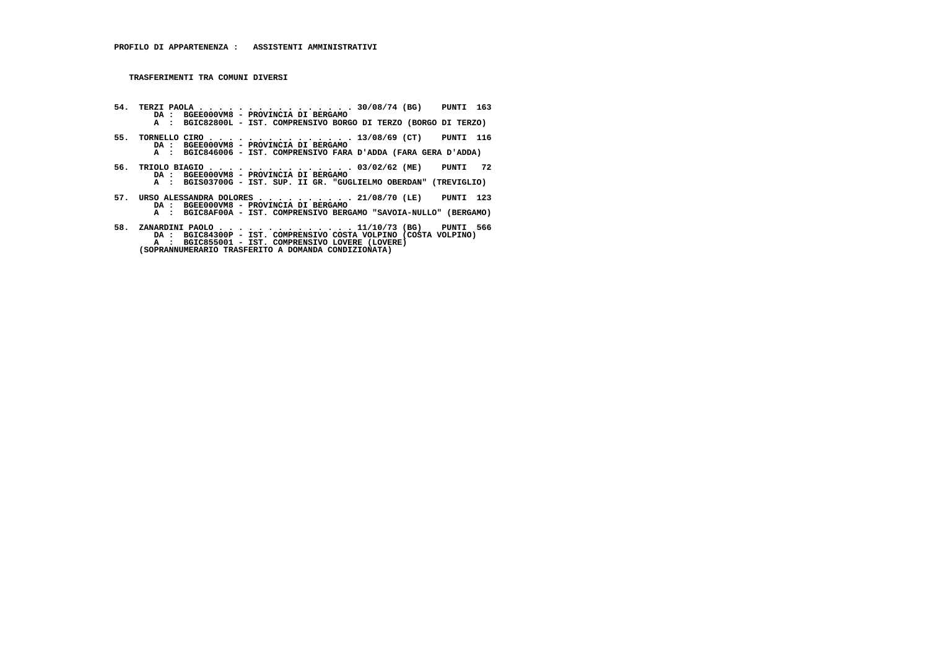- **54. TERZI PAOLA . . . . . . . . . . . . . . . . 30/08/74 (BG) PUNTI 163 DA : BGEE000VM8 PROVINCIA DI BERGAMO A : BGIC82800L - IST. COMPRENSIVO BORGO DI TERZO (BORGO DI TERZO)**
- **55. TORNELLO CIRO . . . . . . . . . . . . . . . 13/08/69 (CT) PUNTI 116**DA : BGEE000VM8 - PROVINCIA DI BERGAMO<br>A : BGIC846006 - IST. COMPRENSIVO FARA D'ADDA (FARA GERA D'ADDA)
	-
- **56. TRIOLO BIAGIO . . . . . . . . . . . . . . . 03/02/62 (ME) PUNTI 72 DA : BGEE000VM8 PROVINCIA DI BERGAMO**
- **A : BGIS03700G IST. SUP. II GR. "GUGLIELMO OBERDAN" (TREVIGLIO)**
- **57. URSO ALESSANDRA DOLORES . . . . . . . . . . 21/08/70 (LE) PUNTI 123 DA : BGEE000VM8 PROVINCIA DI BERGAMO A : BGIC8AF00A - IST. COMPRENSIVO BERGAMO "SAVOIA-NULLO" (BERGAMO)**
- **58. ZANARDINI PAOLO . . . . . . . . . . . . . . 11/10/73 (BG) PUNTI 566 DA : BGIC84300P IST. COMPRENSIVO COSTA VOLPINO (COSTA VOLPINO) A : BGIC855001 - IST. COMPRENSIVO LOVERE (LOVERE) (SOPRANNUMERARIO TRASFERITO A DOMANDA CONDIZIONATA)**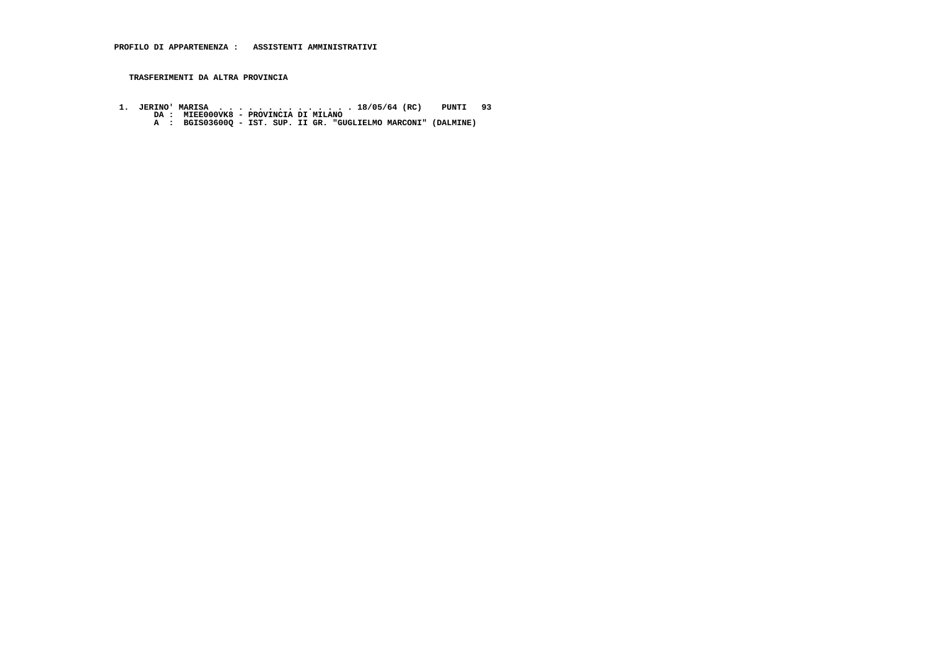**TRASFERIMENTI DA ALTRA PROVINCIA**

 **1. JERINO' MARISA . . . . . . . . . . . . . . 18/05/64 (RC) PUNTI 93 DA : MIEE000VK8 - PROVINCIA DI MILANO A : BGIS03600Q - IST. SUP. II GR. "GUGLIELMO MARCONI" (DALMINE)**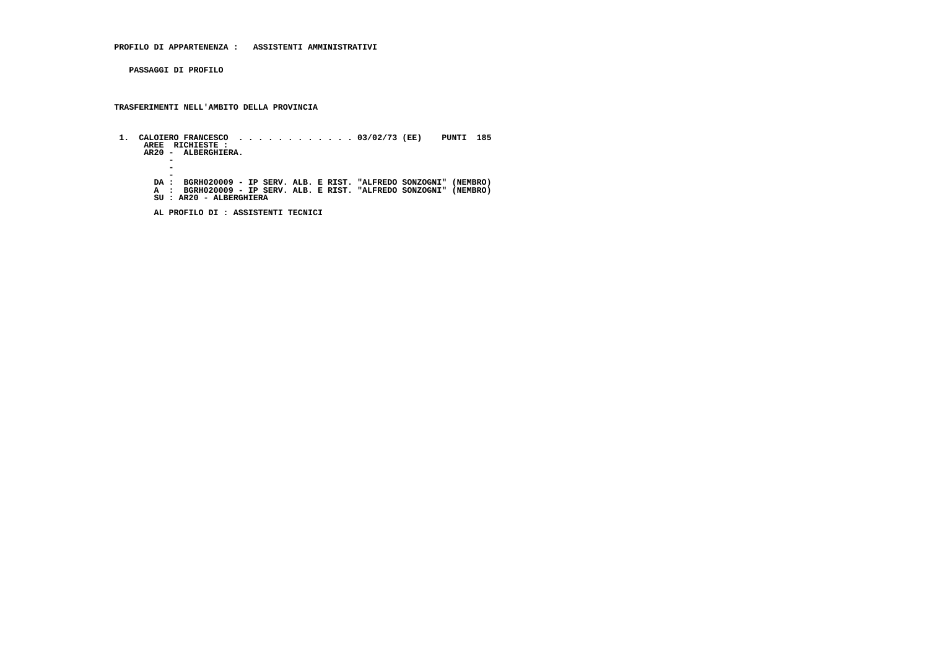**PASSAGGI DI PROFILO**

 **TRASFERIMENTI NELL'AMBITO DELLA PROVINCIA**

 **1. CALOIERO FRANCESCO . . . . . . . . . . . . 03/02/73 (EE) PUNTI 185 AREE RICHIESTE : AR20 - ALBERGHIERA. -** $\overline{a}$  **-DA : BGRH020009 - IP SERV. ALB. E RIST. "ALFREDO SONZOGNI" (NEMBRO)<br>A : BGRH020009 - IP SERV. ALB. E RIST. "ALFREDO SONZOGNI" (NEMBRO)<br>SU : AR20 - ALBERGHIERA** 

 **AL PROFILO DI : ASSISTENTI TECNICI**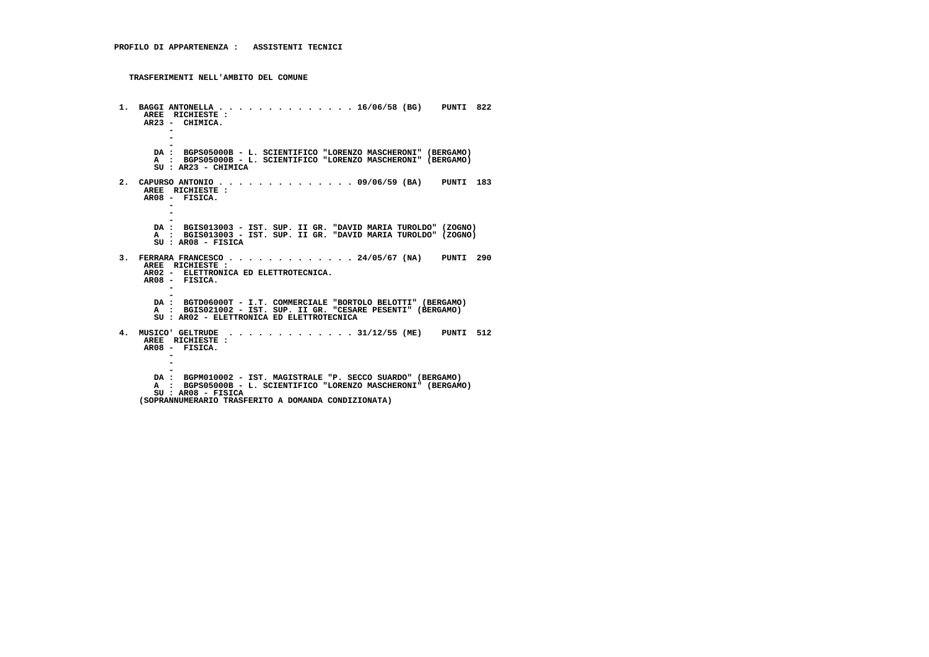**1. BAGGI ANTONELLA . . . . . . . . . . . . . . 16/06/58 (BG) PUNTI 822 AREE RICHIESTE : AR23 - CHIMICA. -** $\sim$  **- - DA : BGPS05000B - L. SCIENTIFICO "LORENZO MASCHERONI" (BERGAMO) A : BGPS05000B - L. SCIENTIFICO "LORENZO MASCHERONI" (BERGAMO) SU : AR23 - CHIMICA 2. CAPURSO ANTONIO . . . . . . . . . . . . . . 09/06/59 (BA) PUNTI 183 AREE RICHIESTE : AR08 - FISICA. - - - DA : BGIS013003 - IST. SUP. II GR. "DAVID MARIA TUROLDO" (ZOGNO) A : BGIS013003 - IST. SUP. II GR. "DAVID MARIA TUROLDO" (ZOGNO) SU : AR08 - FISICA 3. FERRARA FRANCESCO . . . . . . . . . . . . . 24/05/67 (NA) PUNTI 290 AREE RICHIESTE : AR02 - ELETTRONICA ED ELETTROTECNICA. AR08 - FISICA. - - DA : BGTD06000T - I.T. COMMERCIALE "BORTOLO BELOTTI" (BERGAMO)**A : BGIS021002 - IST. SUP. II GR. "CESARE PESENTI" (BERGAMO)  **SU : AR02 - ELETTRONICA ED ELETTROTECNICA 4. MUSICO' GELTRUDE . . . . . . . . . . . . . 31/12/55 (ME) PUNTI 512 AREE RICHIESTE : AR08 - FISICA. - - - DA : BGPM010002 - IST. MAGISTRALE "P. SECCO SUARDO" (BERGAMO) A : BGPS05000B - L. SCIENTIFICO "LORENZO MASCHERONI" (BERGAMO) SU : AR08 - FISICA (SOPRANNUMERARIO TRASFERITO A DOMANDA CONDIZIONATA)**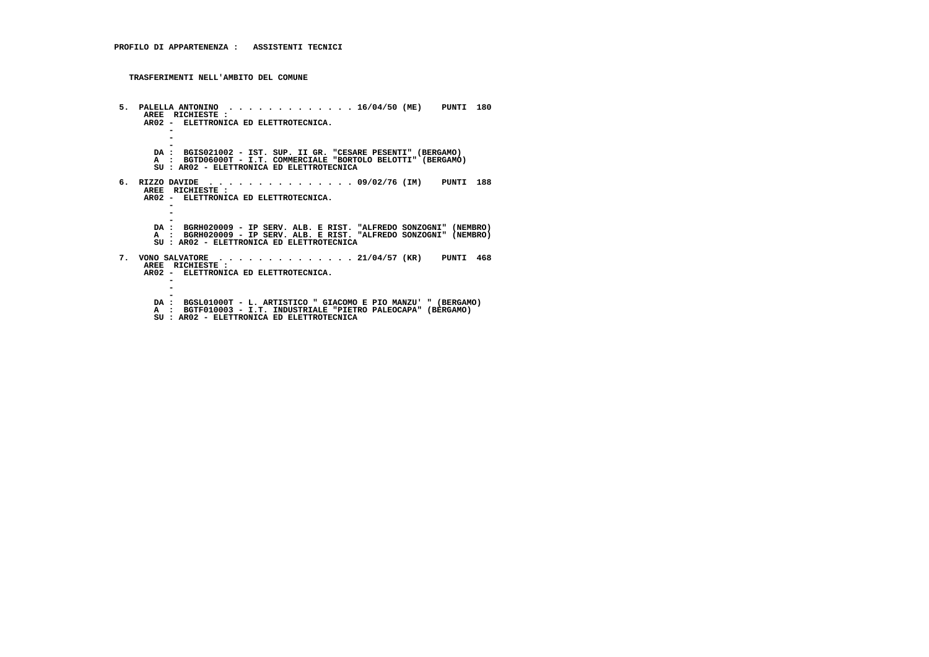**5. PALELLA ANTONINO . . . . . . . . . . . . . 16/04/50 (ME) PUNTI 180 AREE RICHIESTE : AR02 - ELETTRONICA ED ELETTROTECNICA. -** $\sim$  **-** $\overline{\phantom{a}}$  **- DA : BGIS021002 - IST. SUP. II GR. "CESARE PESENTI" (BERGAMO) A : BGTD06000T - I.T. COMMERCIALE "BORTOLO BELOTTI" (BERGAMO) SU : AR02 - ELETTRONICA ED ELETTROTECNICA 6. RIZZO DAVIDE . . . . . . . . . . . . . . . 09/02/76 (IM) PUNTI 188 AREE RICHIESTE : AR02 - ELETTRONICA ED ELETTROTECNICA. - - - DA : BGRH020009 - IP SERV. ALB. E RIST. "ALFREDO SONZOGNI" (NEMBRO) A : BGRH020009 - IP SERV. ALB. E RIST. "ALFREDO SONZOGNI" (NEMBRO) SU : AR02 - ELETTRONICA ED ELETTROTECNICA 7. VONO SALVATORE . . . . . . . . . . . . . . 21/04/57 (KR) PUNTI 468 AREE RICHIESTE : AR02 - ELETTRONICA ED ELETTROTECNICA. - - - DA : BGSL01000T - L. ARTISTICO " GIACOMO E PIO MANZU' " (BERGAMO) A : BGTF010003 - I.T. INDUSTRIALE "PIETRO PALEOCAPA" (BERGAMO) SU : AR02 - ELETTRONICA ED ELETTROTECNICA**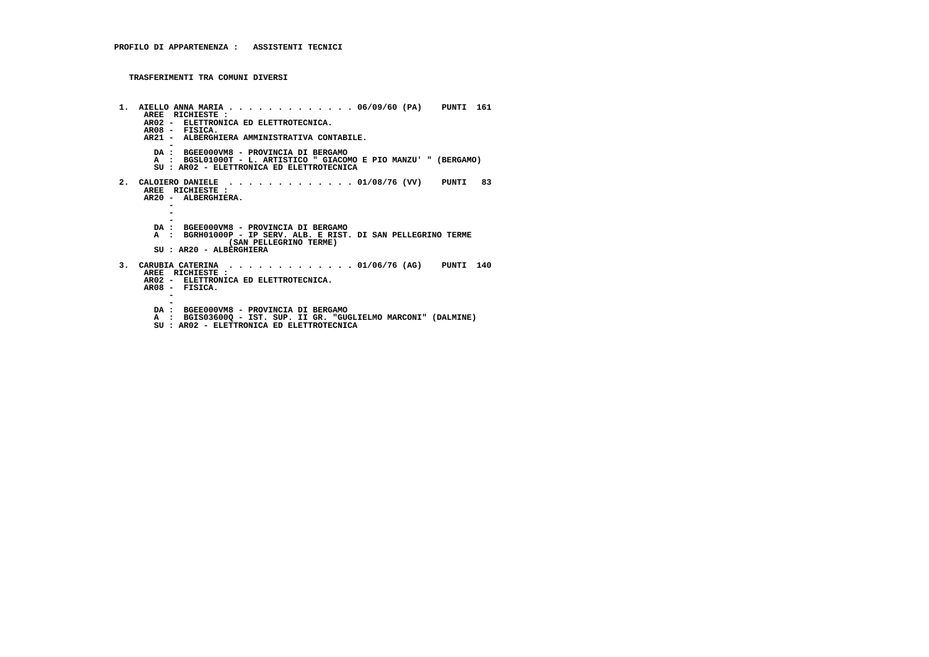```
 1. AIELLO ANNA MARIA . . . . . . . . . . . . . 06/09/60 (PA) PUNTI 161 AREE RICHIESTE :
AR02 - ELETTRONICA ED ELETTROTECNICA. AR08 - FISICA.
AR21 - ALBERGHIERA AMMINISTRATIVA CONTABILE. -
DA : BGEE000VM8 - PROVINCIA DI BERGAMO
A : BGSL01000T - L. ARTISTICO " GIACOMO E PIO MANZU' " (BERGAMO) SU : AR02 - ELETTRONICA ED ELETTROTECNICA 2. CALOIERO DANIELE . . . . . . . . . . . . . 01/08/76 (VV) PUNTI 83 AREE RICHIESTE :
AR20 - ALBERGHIERA. - -\sim -
DA : BGEE000VM8 - PROVINCIA DI BERGAMO
A : BGRH01000P - IP SERV. ALB. E RIST. DI SAN PELLEGRINO TERME (SAN PELLEGRINO TERME) SU : AR20 - ALBERGHIERA 3. CARUBIA CATERINA . . . . . . . . . . . . . 01/06/76 (AG) PUNTI 140 AREE RICHIESTE :
AR02 - ELETTRONICA ED ELETTROTECNICA. AR08 - FISICA. - -
DA : BGEE000VM8 - PROVINCIA DI BERGAMO
A : BGIS03600Q - IST. SUP. II GR. "GUGLIELMO MARCONI" (DALMINE)
SU : AR02 - ELETTRONICA ED ELETTROTECNICA
```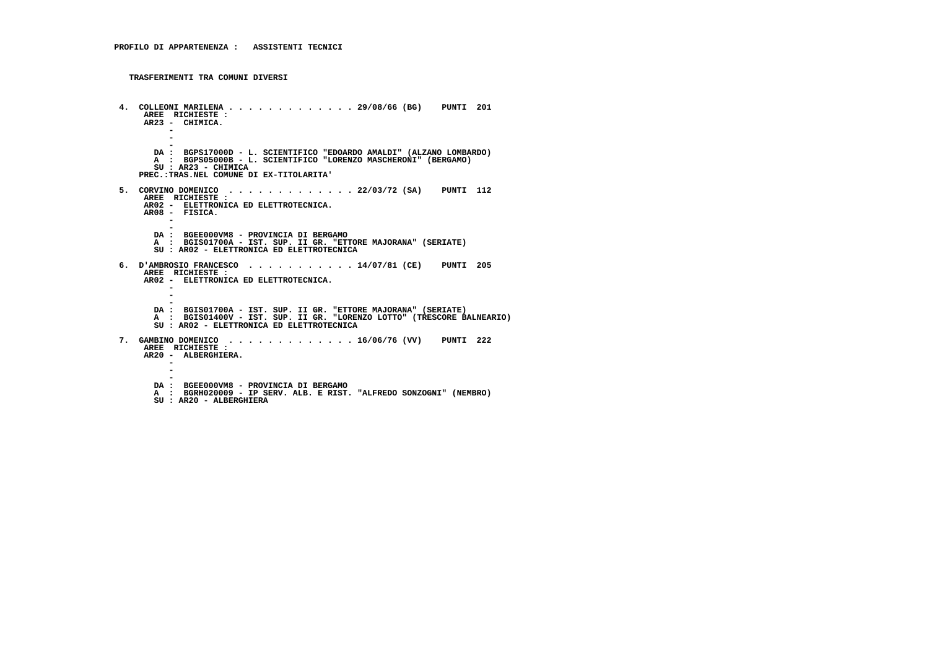```
 4. COLLEONI MARILENA . . . . . . . . . . . . . 29/08/66 (BG) PUNTI 201 AREE RICHIESTE :
AR23 - CHIMICA. -\sim - -
DA : BGPS17000D - L. SCIENTIFICO "EDOARDO AMALDI" (ALZANO LOMBARDO) A : BGPS05000B - L. SCIENTIFICO "LORENZO MASCHERONI" (BERGAMO) SU : AR23 - CHIMICA
PREC.:TRAS.NEL COMUNE DI EX-TITOLARITA' 5. CORVINO DOMENICO . . . . . . . . . . . . . 22/03/72 (SA) PUNTI 112 AREE RICHIESTE :
AR02 - ELETTRONICA ED ELETTROTECNICA. AR08 - FISICA. - -
DA : BGEE000VM8 - PROVINCIA DI BERGAMO
A : BGIS01700A - IST. SUP. II GR. "ETTORE MAJORANA" (SERIATE) SU : AR02 - ELETTRONICA ED ELETTROTECNICA 6. D'AMBROSIO FRANCESCO . . . . . . . . . . . 14/07/81 (CE) PUNTI 205 AREE RICHIESTE :
AR02 - ELETTRONICA ED ELETTROTECNICA. - - -
DA : BGIS01700A - IST. SUP. II GR. "ETTORE MAJORANA" (SERIATE)
A : BGIS01400V - IST. SUP. II GR. "LORENZO LOTTO" (TRESCORE BALNEARIO) SU : AR02 - ELETTRONICA ED ELETTROTECNICA 7. GAMBINO DOMENICO . . . . . . . . . . . . . 16/06/76 (VV) PUNTI 222 AREE RICHIESTE :
AR20 - ALBERGHIERA. - - -
DA : BGEE000VM8 - PROVINCIA DI BERGAMO
A : BGRH020009 - IP SERV. ALB. E RIST. "ALFREDO SONZOGNI" (NEMBRO) SU : AR20 - ALBERGHIERA
```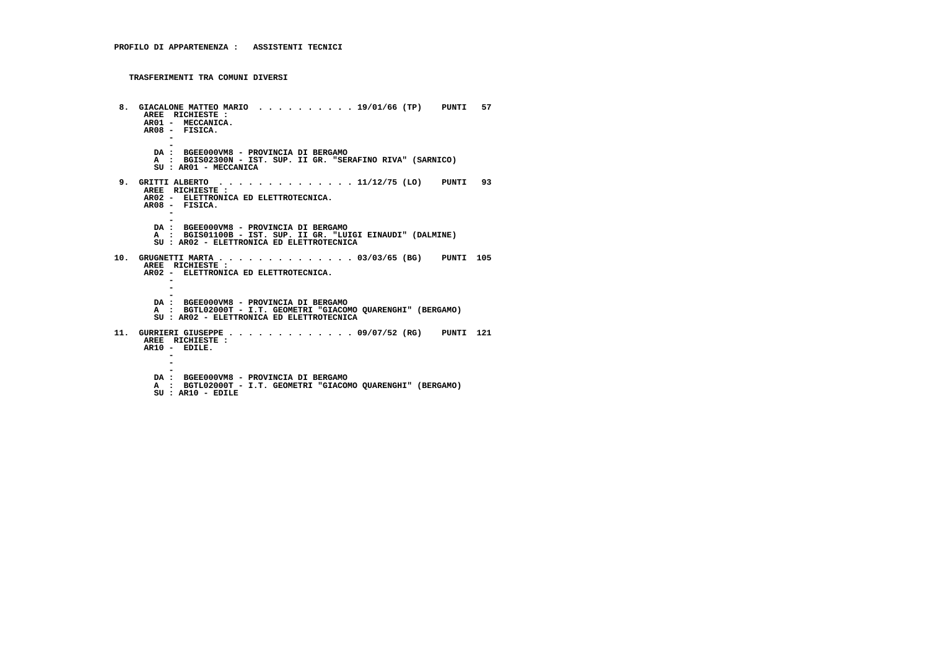```
 8. GIACALONE MATTEO MARIO . . . . . . . . . . 19/01/66 (TP) PUNTI 57 AREE RICHIESTE :
AR01 - MECCANICA.
AR08 - FISICA. - -
DA : BGEE000VM8 - PROVINCIA DI BERGAMO
A : BGIS02300N - IST. SUP. II GR. "SERAFINO RIVA" (SARNICO) SU : AR01 - MECCANICA 9. GRITTI ALBERTO . . . . . . . . . . . . . . 11/12/75 (LO) PUNTI 93 AREE RICHIESTE :
AR02 - ELETTRONICA ED ELETTROTECNICA. AR08 - FISICA. - -
DA : BGEE000VM8 - PROVINCIA DI BERGAMO
A : BGIS01100B - IST. SUP. II GR. "LUIGI EINAUDI" (DALMINE) SU : AR02 - ELETTRONICA ED ELETTROTECNICA 10. GRUGNETTI MARTA . . . . . . . . . . . . . . 03/03/65 (BG) PUNTI 105 AREE RICHIESTE :
AR02 - ELETTRONICA ED ELETTROTECNICA. - - -
DA : BGEE000VM8 - PROVINCIA DI BERGAMO
A : BGTL02000T - I.T. GEOMETRI "GIACOMO QUARENGHI" (BERGAMO) SU : AR02 - ELETTRONICA ED ELETTROTECNICA 11. GURRIERI GIUSEPPE . . . . . . . . . . . . . 09/07/52 (RG) PUNTI 121 AREE RICHIESTE : AR10 - EDILE. - - -
DA : BGEE000VM8 - PROVINCIA DI BERGAMO
A : BGTL02000T - I.T. GEOMETRI "GIACOMO QUARENGHI" (BERGAMO) SU : AR10 - EDILE
```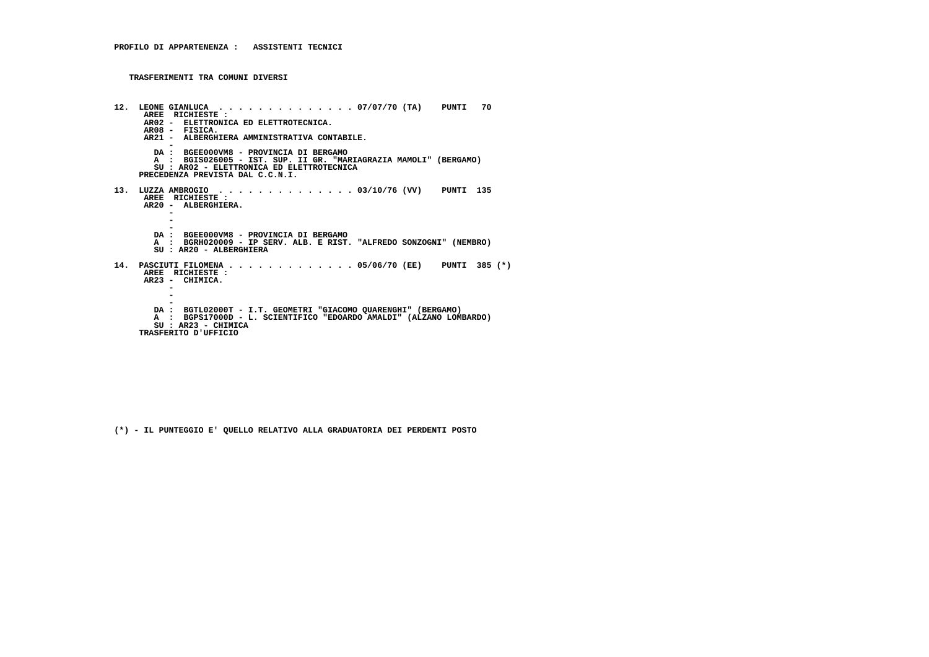```
 12. LEONE GIANLUCA . . . . . . . . . . . . . . 07/07/70 (TA) PUNTI 70 AREE RICHIESTE :
AR02 - ELETTRONICA ED ELETTROTECNICA. AR08 - FISICA.
AR21 - ALBERGHIERA AMMINISTRATIVA CONTABILE. -
DA : BGEE000VM8 - PROVINCIA DI BERGAMO
A : BGIS026005 - IST. SUP. II GR. "MARIAGRAZIA MAMOLI" (BERGAMO) SU : AR02 - ELETTRONICA ED ELETTROTECNICA PRECEDENZA PREVISTA DAL C.C.N.I. 13. LUZZA AMBROGIO . . . . . . . . . . . . . . 03/10/76 (VV) PUNTI 135 AREE RICHIESTE :
AR20 - ALBERGHIERA. -\sim - -
DA : BGEE000VM8 - PROVINCIA DI BERGAMO
A : BGRH020009 - IP SERV. ALB. E RIST. "ALFREDO SONZOGNI" (NEMBRO) SU : AR20 - ALBERGHIERA 14. PASCIUTI FILOMENA . . . . . . . . . . . . . 05/06/70 (EE) PUNTI 385 (*) AREE RICHIESTE :
AR23 - CHIMICA. - -
-
DA : BGTL02000T - I.T. GEOMETRI "GIACOMO QUARENGHI" (BERGAMO)
A : BGPS17000D - L. SCIENTIFICO "EDOARDO AMALDI" (ALZANO LOMBARDO) SU : AR23 - CHIMICA TRASFERITO D'UFFICIO
```
 **(\*) - IL PUNTEGGIO E' QUELLO RELATIVO ALLA GRADUATORIA DEI PERDENTI POSTO**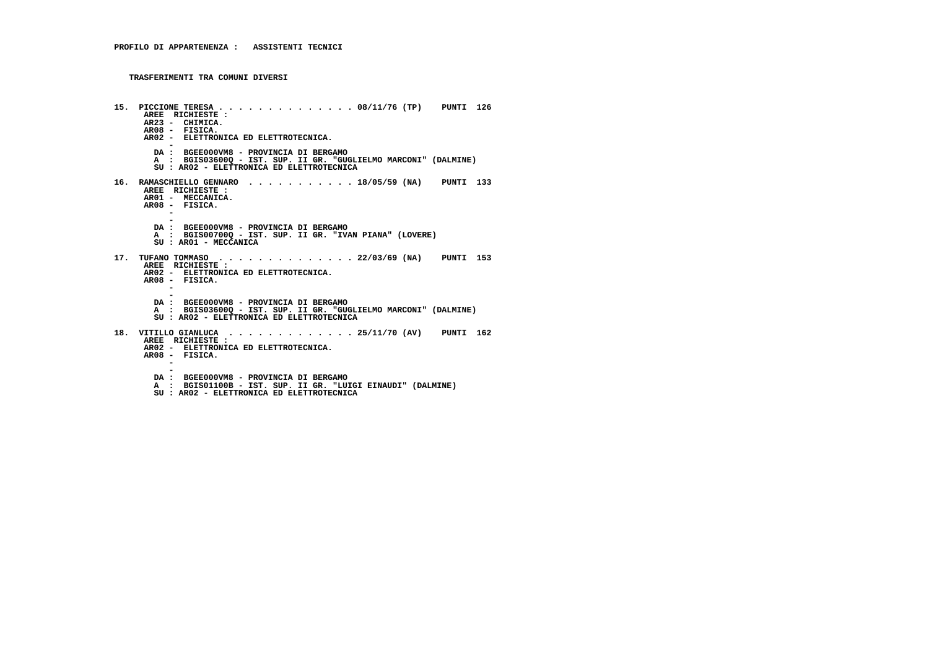```
 15. PICCIONE TERESA . . . . . . . . . . . . . . 08/11/76 (TP) PUNTI 126 AREE RICHIESTE :
AR23 - CHIMICA.
AR08 - FISICA.
AR02 - ELETTRONICA ED ELETTROTECNICA. -
DA : BGEE000VM8 - PROVINCIA DI BERGAMO
A : BGIS03600Q - IST. SUP. II GR. "GUGLIELMO MARCONI" (DALMINE) SU : AR02 - ELETTRONICA ED ELETTROTECNICA 16. RAMASCHIELLO GENNARO . . . . . . . . . . . 18/05/59 (NA) PUNTI 133 AREE RICHIESTE :
AR01 - MECCANICA. AR08 - FISICA. - -
DA : BGEE000VM8 - PROVINCIA DI BERGAMO
A : BGIS00700Q - IST. SUP. II GR. "IVAN PIANA" (LOVERE) SU : AR01 - MECCANICA 17. TUFANO TOMMASO . . . . . . . . . . . . . . 22/03/69 (NA) PUNTI 153 AREE RICHIESTE :
AR02 - ELETTRONICA ED ELETTROTECNICA. AR08 - FISICA. - -
DA : BGEE000VM8 - PROVINCIA DI BERGAMO
A : BGIS03600Q - IST. SUP. II GR. "GUGLIELMO MARCONI" (DALMINE) SU : AR02 - ELETTRONICA ED ELETTROTECNICA 18. VITILLO GIANLUCA . . . . . . . . . . . . . 25/11/70 (AV) PUNTI 162 AREE RICHIESTE :
AR02 - ELETTRONICA ED ELETTROTECNICA. AR08 - FISICA. - -
DA : BGEE000VM8 - PROVINCIA DI BERGAMO
A : BGIS01100B - IST. SUP. II GR. "LUIGI EINAUDI" (DALMINE) SU : AR02 - ELETTRONICA ED ELETTROTECNICA
```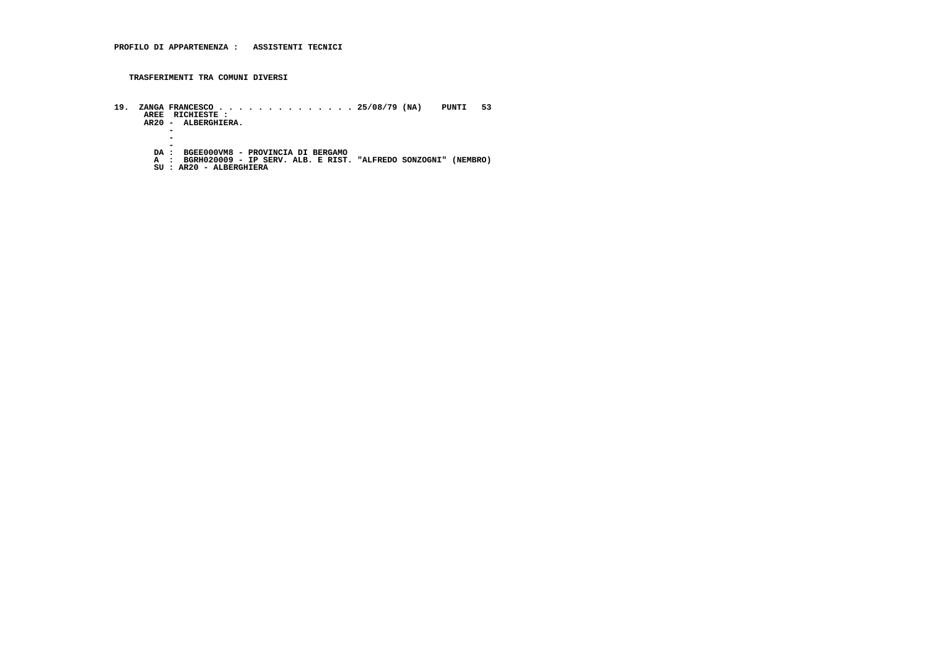- **19. ZANGA FRANCESCO . . . . . . . . . . . . . . 25/08/79 (NA) PUNTI 53 AREE RICHIESTE : AR20 ALBERGHIERA.**
	- **-**

 $\sim$  **-** $\overline{a}$ 

- 
- -**-**<br>DA : BGEE000VM8 PROVINCIA DI BERGAMO<br>A : BGRH020009 IP SERV. ALB. E RIST. "ALFREDO SONZOGNI" (NEMBRO)<br>SU : AR20 ALBERGHIERA
	-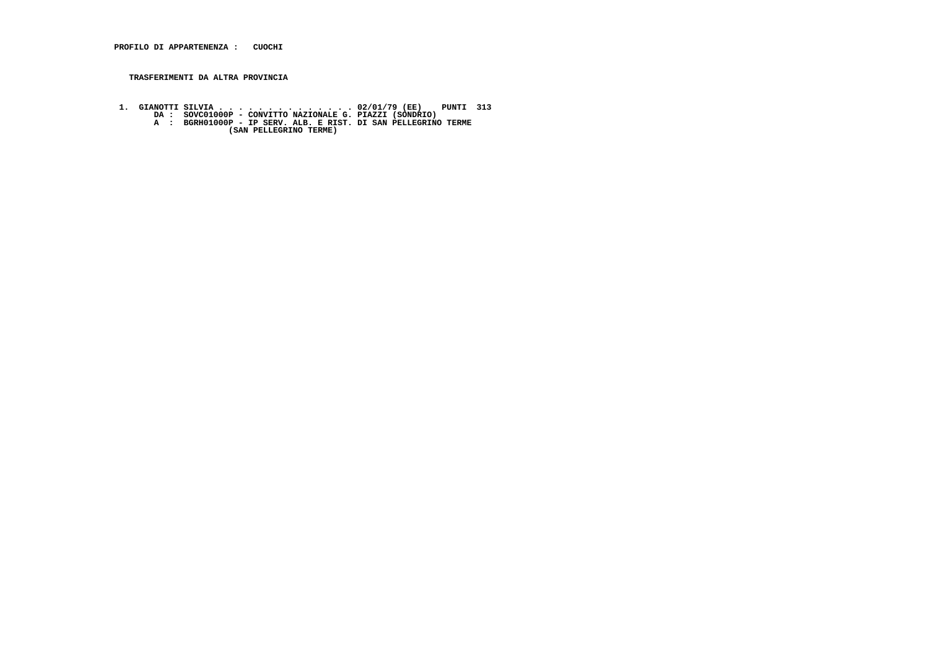### **TRASFERIMENTI DA ALTRA PROVINCIA**

- 1. GIANOTTI SILVIA . . . . . . . . . . . . . 02/01/79 (EE) PUNTI 313<br>DA : SOVC01000P CONVITTO NAZIONALE G. PIAZZI (SONDRIO)<br>A : BGRH01000P IP SERV. ALB. E RIST. DI SAN PELLEGRINO TERME<br>(SAN PELLEGRINO TERME)
	-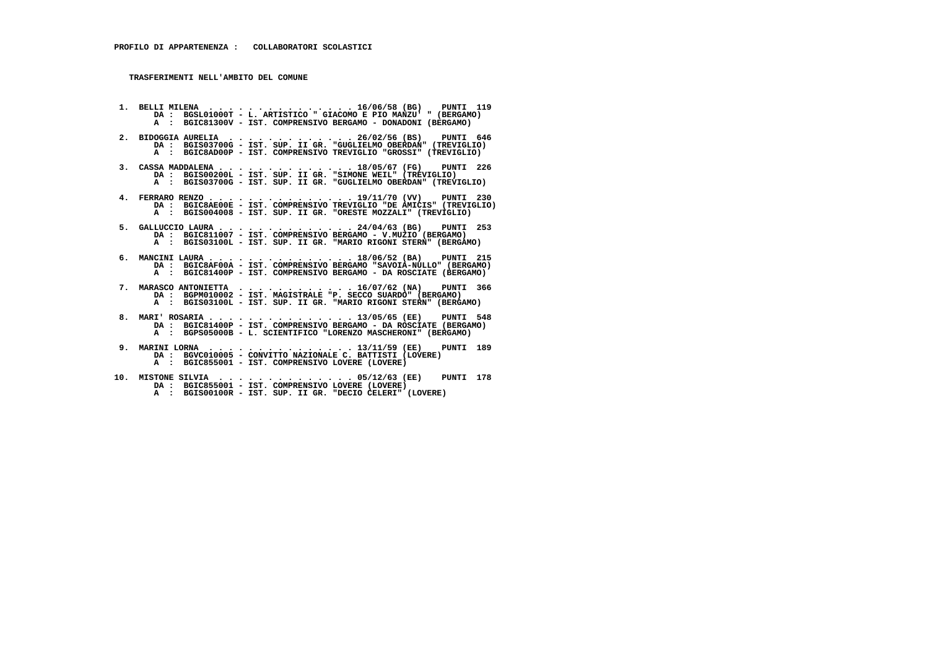- **1. BELLI MILENA . . . . . . . . . . . . . . . 16/06/58 (BG) PUNTI 119**DA : BGSL01000T - L. ARTISTICO " GIACOMO E PIO MANZU' " (BERGAMO)  **A : BGIC81300V - IST. COMPRENSIVO BERGAMO - DONADONI (BERGAMO)**
- **2. BIDOGGIA AURELIA . . . . . . . . . . . . . 26/02/56 (BS) PUNTI 646 DA : BGIS03700G - IST. SUP. II GR. "GUGLIELMO OBERDAN" (TREVIGLIO) A : BGIC8AD00P - IST. COMPRENSIVO TREVIGLIO "GROSSI" (TREVIGLIO)**
- **3. CASSA MADDALENA . . . . . . . . . . . . . . 18/05/67 (FG) PUNTI 226 DA : BGIS00200L IST. SUP. II GR. "SIMONE WEIL" (TREVIGLIO) A : BGIS03700G IST. SUP. II GR. "GUGLIELMO OBERDAN" (TREVIGLIO)**
- **4. FERRARO RENZO . . . . . . . . . . . . . . . 19/11/70 (VV) PUNTI 230 DA : BGIC8AE00E IST. COMPRENSIVO TREVIGLIO "DE AMICIS" (TREVIGLIO) A : BGIS004008 - IST. SUP. II GR. "ORESTE MOZZALI" (TREVIGLIO)**
- **5. GALLUCCIO LAURA . . . . . . . . . . . . . . 24/04/63 (BG) PUNTI 253 DA : BGIC811007 IST. COMPRENSIVO BERGAMO V.MUZIO (BERGAMO) A : BGIS03100L - IST. SUP. II GR. "MARIO RIGONI STERN" (BERGAMO)**
- **6. MANCINI LAURA . . . . . . . . . . . . . . . 18/06/52 (BA) PUNTI 215 DA : BGIC8AF00A IST. COMPRENSIVO BERGAMO "SAVOIA-NULLO" (BERGAMO) A : BGIC81400P - IST. COMPRENSIVO BERGAMO - DA ROSCIATE (BERGAMO)**
- **7. MARASCO ANTONIETTA . . . . . . . . . . . . 16/07/62 (NA) PUNTI 366 DA : BGPM010002 IST. MAGISTRALE "P. SECCO SUARDO" (BERGAMO) A : BGIS03100L - IST. SUP. II GR. "MARIO RIGONI STERN" (BERGAMO)**
- **8. MARI' ROSARIA . . . . . . . . . . . . . . . 13/05/65 (EE) PUNTI 548 DA : BGIC81400P IST. COMPRENSIVO BERGAMO DA ROSCIATE (BERGAMO) A : BGPS05000B - L. SCIENTIFICO "LORENZO MASCHERONI" (BERGAMO)**
- **9. MARINI LORNA . . . . . . . . . . . . . . . 13/11/59 (EE) PUNTI 189 DA : BGVC010005 CONVITTO NAZIONALE C. BATTISTI (LOVERE) A : BGIC855001 - IST. COMPRENSIVO LOVERE (LOVERE)**
- **10. MISTONE SILVIA . . . . . . . . . . . . . . 05/12/63 (EE) PUNTI 178 DA : BGIC855001 IST. COMPRENSIVO LOVERE (LOVERE) A : BGIS00100R - IST. SUP. II GR. "DECIO CELERI" (LOVERE)**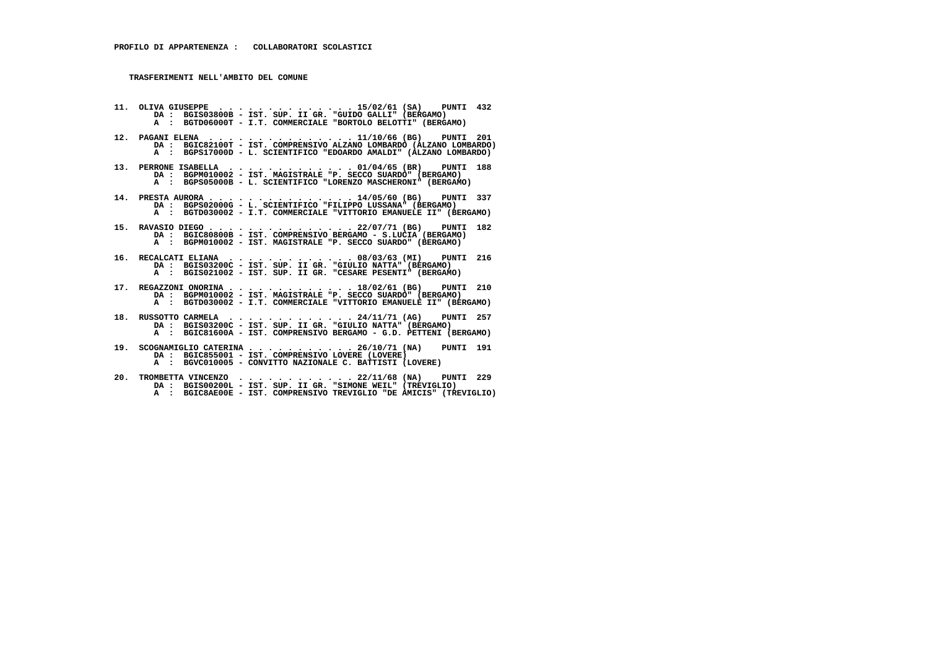- **11. OLIVA GIUSEPPE . . . . . . . . . . . . . . 15/02/61 (SA) PUNTI 432 DA : BGIS03800B IST. SUP. II GR. "GUIDO GALLI" (BERGAMO) A : BGTD06000T I.T. COMMERCIALE "BORTOLO BELOTTI" (BERGAMO)**
- **12. PAGANI ELENA . . . . . . . . . . . . . . . 11/10/66 (BG) PUNTI 201 DA : BGIC82100T - IST. COMPRENSIVO ALZANO LOMBARDO (ALZANO LOMBARDO) A : BGPS17000D - L. SCIENTIFICO "EDOARDO AMALDI" (ALZANO LOMBARDO)**
- **13. PERRONE ISABELLA . . . . . . . . . . . . . 01/04/65 (BR) PUNTI 188 DA : BGPM010002 IST. MAGISTRALE "P. SECCO SUARDO" (BERGAMO) A : BGPS05000B - L. SCIENTIFICO "LORENZO MASCHERONI" (BERGAMO)**
- **14. PRESTA AURORA . . . . . . . . . . . . . . . 14/05/60 (BG) PUNTI 337 DA : BGPS02000G L. SCIENTIFICO "FILIPPO LUSSANA" (BERGAMO) A : BGTD030002 - I.T. COMMERCIALE "VITTORIO EMANUELE II" (BERGAMO)**
- **15. RAVASIO DIEGO . . . . . . . . . . . . . . . 22/07/71 (BG) PUNTI 182 DA : BGIC80800B IST. COMPRENSIVO BERGAMO S.LUCIA (BERGAMO) A : BGPM010002 - IST. MAGISTRALE "P. SECCO SUARDO" (BERGAMO)**
- **16. RECALCATI ELIANA . . . . . . . . . . . . . 08/03/63 (MI) PUNTI 216 DA : BGIS03200C IST. SUP. II GR. "GIULIO NATTA" (BERGAMO) A : BGIS021002 IST. SUP. II GR. "CESARE PESENTI" (BERGAMO)**
- **17. REGAZZONI ONORINA . . . . . . . . . . . . . 18/02/61 (BG) PUNTI 210 DA : BGPM010002 IST. MAGISTRALE "P. SECCO SUARDO" (BERGAMO) A : BGTD030002 - I.T. COMMERCIALE "VITTORIO EMANUELE II" (BERGAMO)**
- **18. RUSSOTTO CARMELA . . . . . . . . . . . . . 24/11/71 (AG) PUNTI 257 DA : BGIS03200C IST. SUP. II GR. "GIULIO NATTA" (BERGAMO) A : BGIC81600A - IST. COMPRENSIVO BERGAMO - G.D. PETTENI (BERGAMO)**
- **19. SCOGNAMIGLIO CATERINA . . . . . . . . . . . 26/10/71 (NA) PUNTI 191 DA : BGIC855001 IST. COMPRENSIVO LOVERE (LOVERE) A : BGVC010005 CONVITTO NAZIONALE C. BATTISTI (LOVERE)**
- **20. TROMBETTA VINCENZO . . . . . . . . . . . . 22/11/68 (NA) PUNTI 229 DA : BGIS00200L IST. SUP. II GR. "SIMONE WEIL" (TREVIGLIO) A : BGIC8AE00E - IST. COMPRENSIVO TREVIGLIO "DE AMICIS" (TREVIGLIO)**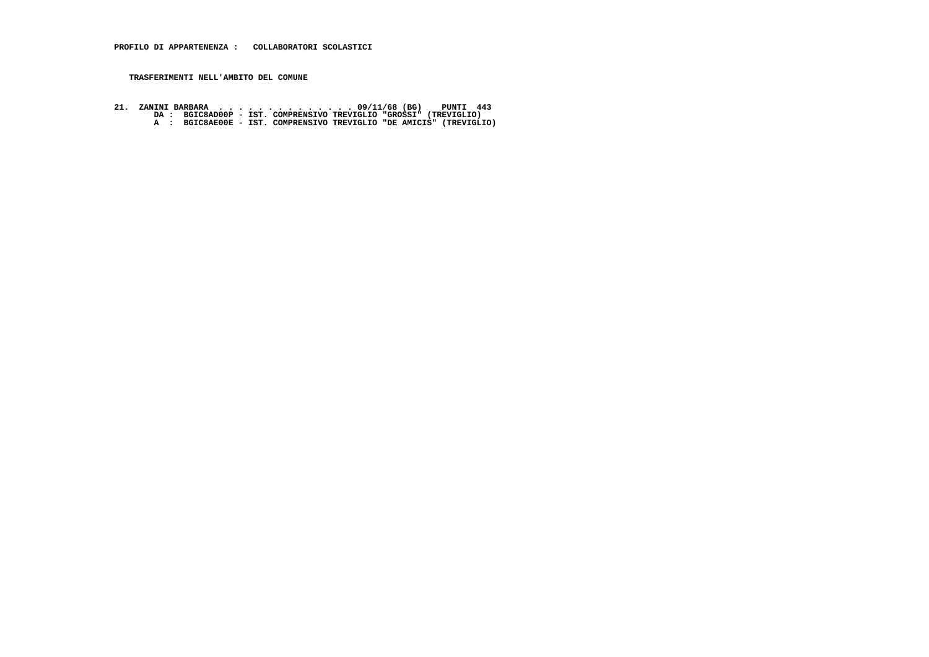**21. ZANINI BARBARA . . . . . . . . . . . . . . 09/11/68 (BG) PUNTI 443 DA : BGIC8AD00P - IST. COMPRENSIVO TREVIGLIO "GROSSI" (TREVIGLIO) A : BGIC8AE00E - IST. COMPRENSIVO TREVIGLIO "DE AMICIS" (TREVIGLIO)**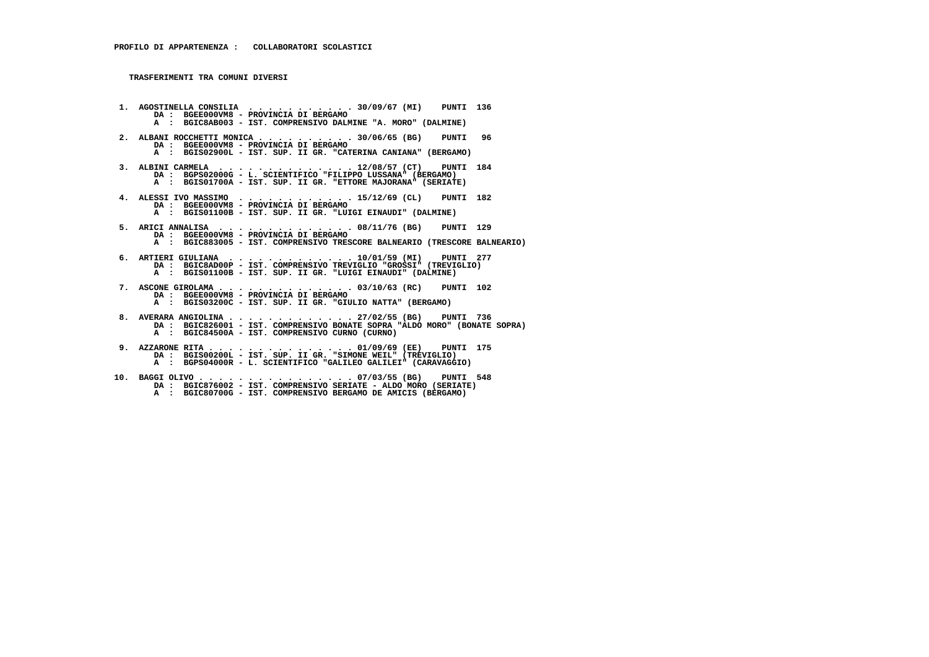**1. AGOSTINELLA CONSILIA . . . . . . . . . . . 30/09/67 (MI) PUNTI 136 DA : BGEE000VM8 - PROVINCIA DI BERGAMO A : BGIC8AB003 - IST. COMPRENSIVO DALMINE "A. MORO" (DALMINE) 2. ALBANI ROCCHETTI MONICA . . . . . . . . . . 30/06/65 (BG) PUNTI 96 DA : BGEE000VM8 - PROVINCIA DI BERGAMO A : BGIS02900L - IST. SUP. II GR. "CATERINA CANIANA" (BERGAMO) 3. ALBINI CARMELA . . . . . . . . . . . . . . 12/08/57 (CT) PUNTI 184 DA : BGPS02000G - L. SCIENTIFICO "FILIPPO LUSSANA" (BERGAMO) A : BGIS01700A - IST. SUP. II GR. "ETTORE MAJORANA" (SERIATE) 4. ALESSI IVO MASSIMO . . . . . . . . . . . . 15/12/69 (CL) PUNTI 182 DA : BGEE000VM8 - PROVINCIA DI BERGAMO A : BGIS01100B - IST. SUP. II GR. "LUIGI EINAUDI" (DALMINE) 5. ARICI ANNALISA . . . . . . . . . . . . . . 08/11/76 (BG) PUNTI 129 DA : BGEE000VM8 - PROVINCIA DI BERGAMO A : BGIC883005 - IST. COMPRENSIVO TRESCORE BALNEARIO (TRESCORE BALNEARIO) 6. ARTIERI GIULIANA . . . . . . . . . . . . . 10/01/59 (MI) PUNTI 277 DA : BGIC8AD00P - IST. COMPRENSIVO TREVIGLIO "GROSSI" (TREVIGLIO) A : BGIS01100B - IST. SUP. II GR. "LUIGI EINAUDI" (DALMINE) 7. ASCONE GIROLAMA . . . . . . . . . . . . . . 03/10/63 (RC) PUNTI 102 DA : BGEE000VM8 - PROVINCIA DI BERGAMO A : BGIS03200C - IST. SUP. II GR. "GIULIO NATTA" (BERGAMO) 8. AVERARA ANGIOLINA . . . . . . . . . . . . . 27/02/55 (BG) PUNTI 736 DA : BGIC826001 - IST. COMPRENSIVO BONATE SOPRA "ALDO MORO" (BONATE SOPRA) A : BGIC84500A - IST. COMPRENSIVO CURNO (CURNO) 9. AZZARONE RITA . . . . . . . . . . . . . . . 01/09/69 (EE) PUNTI 175 DA : BGIS00200L - IST. SUP. II GR. "SIMONE WEIL" (TREVIGLIO) A : BGPS04000R - L. SCIENTIFICO "GALILEO GALILEI" (CARAVAGGIO) 10. BAGGI OLIVO . . . . . . . . . . . . . . . . 07/03/55 (BG) PUNTI 548 DA : BGIC876002 - IST. COMPRENSIVO SERIATE - ALDO MORO (SERIATE)**

 **A : BGIC80700G - IST. COMPRENSIVO BERGAMO DE AMICIS (BERGAMO)**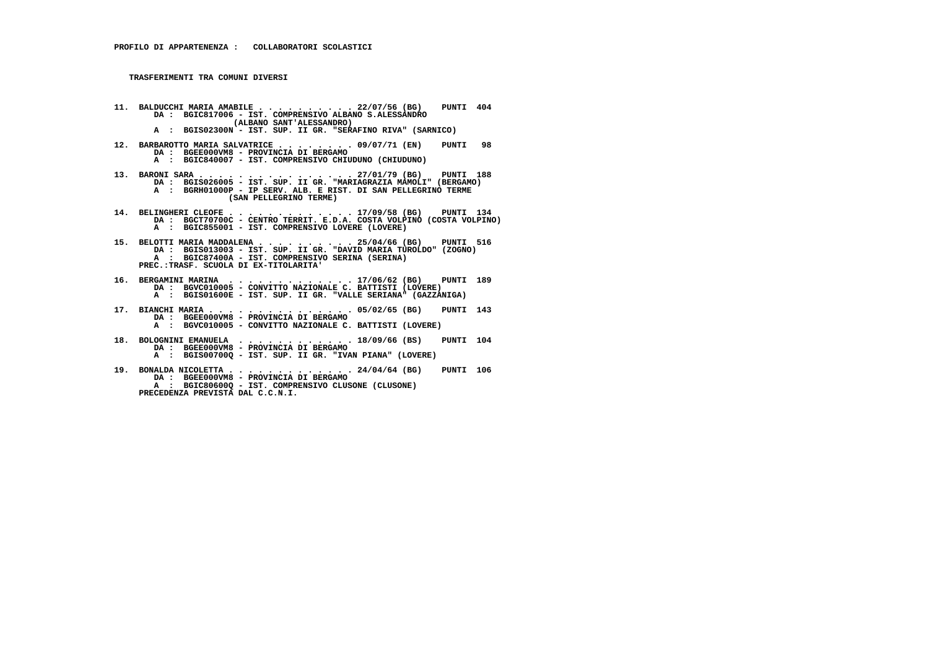- **11. BALDUCCHI MARIA AMABILE . . . . . . . . . . 22/07/56 (BG) PUNTI 404 DA : BGIC817006 - IST. COMPRENSIVO ALBANO S.ALESSANDRO (ALBANO SANT'ALESSANDRO)**
- **A : BGIS02300N IST. SUP. II GR. "SERAFINO RIVA" (SARNICO)**
	- **12. BARBAROTTO MARIA SALVATRICE . . . . . . . . 09/07/71 (EN) PUNTI 98 DA : BGEE000VM8 - PROVINCIA DI BERGAMO**
- **A : BGIC840007 IST. COMPRENSIVO CHIUDUNO (CHIUDUNO)**
- **13. BARONI SARA . . . . . . . . . . . . . . . . 27/01/79 (BG) PUNTI 188 DA : BGIS026005 IST. SUP. II GR. "MARIAGRAZIA MAMOLI" (BERGAMO) A : BGRH01000P - IP SERV. ALB. E RIST. DI SAN PELLEGRINO TERME (SAN PELLEGRINO TERME)**
- **14. BELINGHERI CLEOFE . . . . . . . . . . . . . 17/09/58 (BG) PUNTI 134 DA : BGCT70700C CENTRO TERRIT. E.D.A. COSTA VOLPINO (COSTA VOLPINO) A : BGIC855001 - IST. COMPRENSIVO LOVERE (LOVERE)**
- **15. BELOTTI MARIA MADDALENA . . . . . . . . . . 25/04/66 (BG) PUNTI 516 DA : BGIS013003 IST. SUP. II GR. "DAVID MARIA TUROLDO" (ZOGNO) A : BGIC87400A - IST. COMPRENSIVO SERINA (SERINA) PREC.:TRASF. SCUOLA DI EX-TITOLARITA'**
- **16. BERGAMINI MARINA . . . . . . . . . . . . . 17/06/62 (BG) PUNTI 189 DA : BGVC010005 CONVITTO NAZIONALE C. BATTISTI (LOVERE) A : BGIS01600E - IST. SUP. II GR. "VALLE SERIANA" (GAZZANIGA)**
- **17. BIANCHI MARIA . . . . . . . . . . . . . . . 05/02/65 (BG) PUNTI 143 DA : BGEE000VM8 PROVINCIA DI BERGAMO A : BGVC010005 - CONVITTO NAZIONALE C. BATTISTI (LOVERE)**
- **18. BOLOGNINI EMANUELA . . . . . . . . . . . . 18/09/66 (BS) PUNTI 104 DA : BGEE000VM8 - PROVINCIA DI BERGAMO A : BGIS00700Q - IST. SUP. II GR. "IVAN PIANA" (LOVERE)**
- **19. BONALDA NICOLETTA . . . . . . . . . . . . . 24/04/64 (BG) PUNTI 106 DA : BGEE000VM8 PROVINCIA DI BERGAMO A : BGIC80600Q - IST. COMPRENSIVO CLUSONE (CLUSONE) PRECEDENZA PREVISTA DAL C.C.N.I.**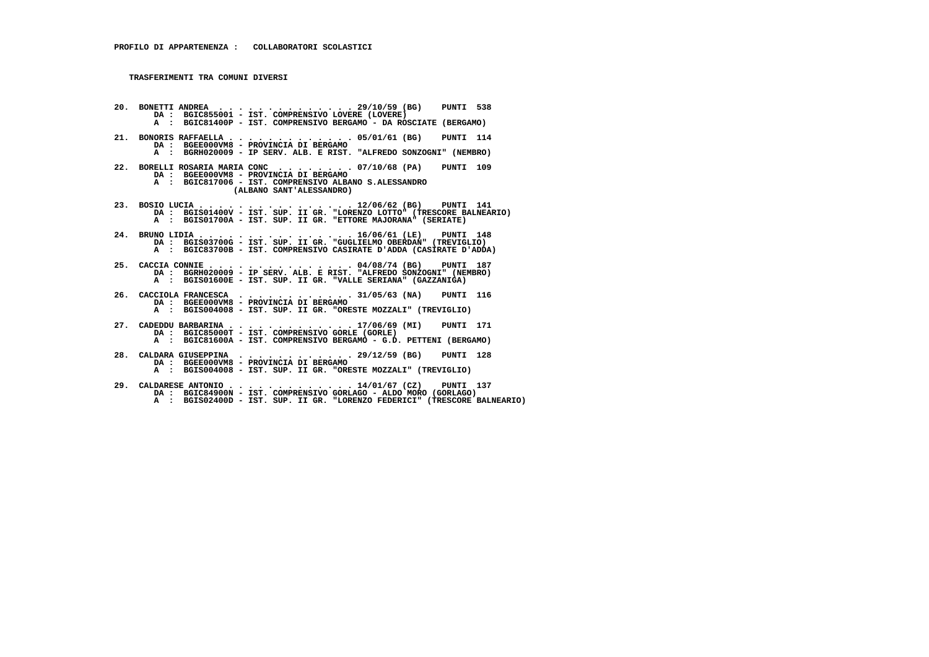- **20. BONETTI ANDREA . . . . . . . . . . . . . . 29/10/59 (BG) PUNTI 538 DA : BGIC855001 IST. COMPRENSIVO LOVERE (LOVERE) A : BGIC81400P - IST. COMPRENSIVO BERGAMO - DA ROSCIATE (BERGAMO) 21. BONORIS RAFFAELLA . . . . . . . . . . . . . 05/01/61 (BG) PUNTI 114 DA : BGEE000VM8 - PROVINCIA DI BERGAMO A : BGRH020009 - IP SERV. ALB. E RIST. "ALFREDO SONZOGNI" (NEMBRO) 22. BORELLI ROSARIA MARIA CONC . . . . . . . . 07/10/68 (PA) PUNTI 109 DA : BGEE000VM8 - PROVINCIA DI BERGAMO A : BGIC817006 - IST. COMPRENSIVO ALBANO S.ALESSANDRO (ALBANO SANT'ALESSANDRO) 23. BOSIO LUCIA . . . . . . . . . . . . . . . . 12/06/62 (BG) PUNTI 141 DA : BGIS01400V - IST. SUP. II GR. "LORENZO LOTTO" (TRESCORE BALNEARIO) A : BGIS01700A - IST. SUP. II GR. "ETTORE MAJORANA" (SERIATE) 24. BRUNO LIDIA . . . . . . . . . . . . . . . . 16/06/61 (LE) PUNTI 148 DA : BGIS03700G - IST. SUP. II GR. "GUGLIELMO OBERDAN" (TREVIGLIO) A : BGIC83700B - IST. COMPRENSIVO CASIRATE D'ADDA (CASIRATE D'ADDA) 25. CACCIA CONNIE . . . . . . . . . . . . . . . 04/08/74 (BG) PUNTI 187 DA : BGRH020009 - IP SERV. ALB. E RIST. "ALFREDO SONZOGNI" (NEMBRO) A : BGIS01600E - IST. SUP. II GR. "VALLE SERIANA" (GAZZANIGA) 26. CACCIOLA FRANCESCA . . . . . . . . . . . . 31/05/63 (NA) PUNTI 116 DA : BGEE000VM8 - PROVINCIA DI BERGAMO A : BGIS004008 - IST. SUP. II GR. "ORESTE MOZZALI" (TREVIGLIO) 27. CADEDDU BARBARINA . . . . . . . . . . . . . 17/06/69 (MI) PUNTI 171 DA : BGIC85000T - IST. COMPRENSIVO GORLE (GORLE) A : BGIC81600A - IST. COMPRENSIVO BERGAMO - G.D. PETTENI (BERGAMO) 28. CALDARA GIUSEPPINA . . . . . . . . . . . . 29/12/59 (BG) PUNTI 128 DA : BGEE000VM8 - PROVINCIA DI BERGAMO A : BGIS004008 - IST. SUP. II GR. "ORESTE MOZZALI" (TREVIGLIO) 29. CALDARESE ANTONIO . . . . . . . . . . . . . 14/01/67 (CZ) PUNTI 137 DA : BGIC84900N - IST. COMPRENSIVO GORLAGO - ALDO MORO (GORLAGO)**
- **A : BGIS02400D IST. SUP. II GR. "LORENZO FEDERICI" (TRESCORE BALNEARIO)**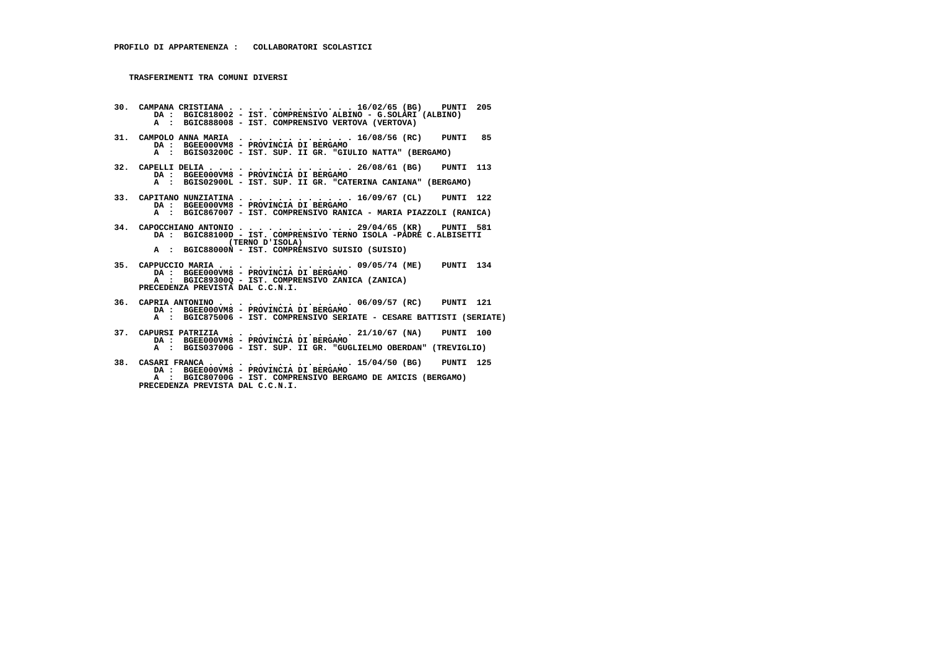- **30. CAMPANA CRISTIANA . . . . . . . . . . . . . 16/02/65 (BG) PUNTI 205 DA : BGIC818002 IST. COMPRENSIVO ALBINO G.SOLARI (ALBINO) A : BGIC888008 - IST. COMPRENSIVO VERTOVA (VERTOVA)**
- **31. CAMPOLO ANNA MARIA . . . . . . . . . . . . 16/08/56 (RC) PUNTI 85 DA : BGEE000VM8 - PROVINCIA DI BERGAMO A : BGIS03200C - IST. SUP. II GR. "GIULIO NATTA" (BERGAMO)**
- **32. CAPELLI DELIA . . . . . . . . . . . . . . . 26/08/61 (BG) PUNTI 113 DA : BGEE000VM8 - PROVINCIA DI BERGAMO A : BGIS02900L - IST. SUP. II GR. "CATERINA CANIANA" (BERGAMO)**
- **33. CAPITANO NUNZIATINA . . . . . . . . . . . . 16/09/67 (CL) PUNTI 122 DA : BGEE000VM8 PROVINCIA DI BERGAMO A : BGIC867007 - IST. COMPRENSIVO RANICA - MARIA PIAZZOLI (RANICA)**
- **34. CAPOCCHIANO ANTONIO . . . . . . . . . . . . 29/04/65 (KR) PUNTI 581 DA : BGIC88100D IST. COMPRENSIVO TERNO ISOLA -PADRE C.ALBISETTI (TERNO D'ISOLA) A : BGIC88000N - IST. COMPRENSIVO SUISIO (SUISIO)**
- **35. CAPPUCCIO MARIA . . . . . . . . . . . . . . 09/05/74 (ME) PUNTI 134 DA : BGEE000VM8 PROVINCIA DI BERGAMO A : BGIC89300Q - IST. COMPRENSIVO ZANICA (ZANICA) PRECEDENZA PREVISTA DAL C.C.N.I.**
- **36. CAPRIA ANTONINO . . . . . . . . . . . . . . 06/09/57 (RC) PUNTI 121 DA : BGEE000VM8 PROVINCIA DI BERGAMO A : BGIC875006 - IST. COMPRENSIVO SERIATE - CESARE BATTISTI (SERIATE)**
	- **37. CAPURSI PATRIZIA . . . . . . . . . . . . . 21/10/67 (NA) PUNTI 100 DA : BGEE000VM8 - PROVINCIA DI BERGAMO**
- **A : BGIS03700G IST. SUP. II GR. "GUGLIELMO OBERDAN" (TREVIGLIO)**
- **38. CASARI FRANCA . . . . . . . . . . . . . . . 15/04/50 (BG) PUNTI 125 DA : BGEE000VM8 - PROVINCIA DI BERGAMO A : BGIC80700G - IST. COMPRENSIVO BERGAMO DE AMICIS (BERGAMO) PRECEDENZA PREVISTA DAL C.C.N.I.**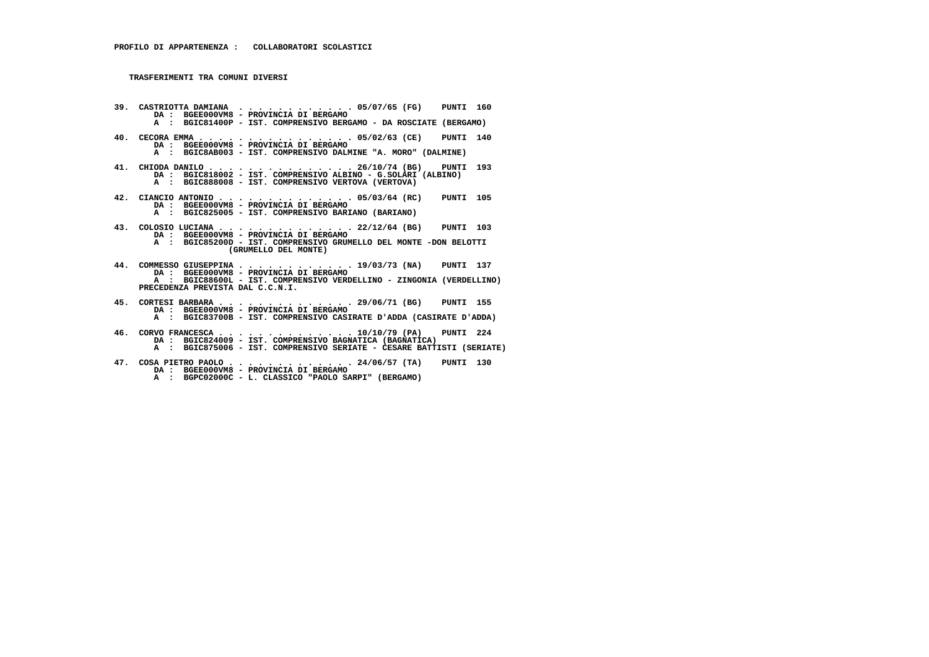- **39. CASTRIOTTA DAMIANA . . . . . . . . . . . . 05/07/65 (FG) PUNTI 160 DA : BGEE000VM8 PROVINCIA DI BERGAMO A : BGIC81400P - IST. COMPRENSIVO BERGAMO - DA ROSCIATE (BERGAMO)**
- **40. CECORA EMMA . . . . . . . . . . . . . . . . 05/02/63 (CE) PUNTI 140 DA : BGEE000VM8 - PROVINCIA DI BERGAMO A : BGIC8AB003 - IST. COMPRENSIVO DALMINE "A. MORO" (DALMINE)**
	-
- **41. CHIODA DANILO . . . . . . . . . . . . . . . 26/10/74 (BG) PUNTI 193 DA : BGIC818002 IST. COMPRENSIVO ALBINO G.SOLARI (ALBINO) A : BGIC888008 - IST. COMPRENSIVO VERTOVA (VERTOVA)**
- **42. CIANCIO ANTONIO . . . . . . . . . . . . . . 05/03/64 (RC) PUNTI 105 DA : BGEE000VM8 PROVINCIA DI BERGAMO A : BGIC825005 - IST. COMPRENSIVO BARIANO (BARIANO)**
	- **43. COLOSIO LUCIANA . . . . . . . . . . . . . . 22/12/64 (BG) PUNTI 103 DA : BGEE000VM8 - PROVINCIA DI BERGAMO**
- **A : BGIC85200D IST. COMPRENSIVO GRUMELLO DEL MONTE -DON BELOTTI (GRUMELLO DEL MONTE)**
- **44. COMMESSO GIUSEPPINA . . . . . . . . . . . . 19/03/73 (NA) PUNTI 137 DA : BGEE000VM8 PROVINCIA DI BERGAMO A : BGIC88600L - IST. COMPRENSIVO VERDELLINO - ZINGONIA (VERDELLINO) PRECEDENZA PREVISTA DAL C.C.N.I.**
- **45. CORTESI BARBARA . . . . . . . . . . . . . . 29/06/71 (BG) PUNTI 155 DA : BGEE000VM8 PROVINCIA DI BERGAMO A : BGIC83700B - IST. COMPRENSIVO CASIRATE D'ADDA (CASIRATE D'ADDA)**
	-
- **46. CORVO FRANCESCA . . . . . . . . . . . . . . 10/10/79 (PA) PUNTI 224 DA : BGIC824009 IST. COMPRENSIVO BAGNATICA (BAGNATICA) A : BGIC875006 - IST. COMPRENSIVO SERIATE - CESARE BATTISTI (SERIATE)**
	- **47. COSA PIETRO PAOLO . . . . . . . . . . . . . 24/06/57 (TA) PUNTI 130 DA : BGEE000VM8 - PROVINCIA DI BERGAMO**
- **A : BGPC02000C L. CLASSICO "PAOLO SARPI" (BERGAMO)**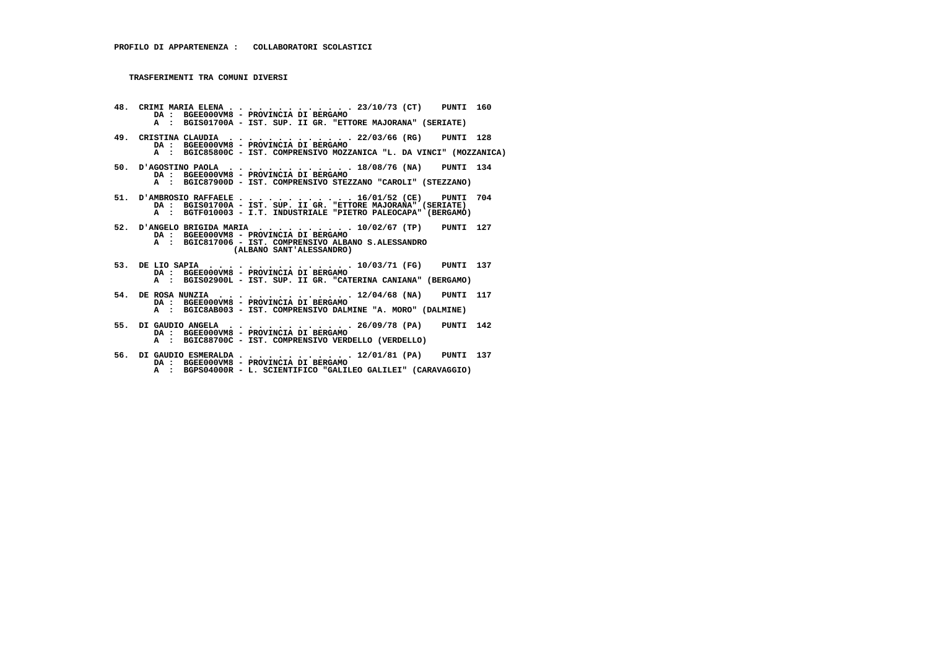**48. CRIMI MARIA ELENA . . . . . . . . . . . . . 23/10/73 (CT) PUNTI 160 DA : BGEE000VM8 - PROVINCIA DI BERGAMO A : BGIS01700A - IST. SUP. II GR. "ETTORE MAJORANA" (SERIATE) 49. CRISTINA CLAUDIA . . . . . . . . . . . . . 22/03/66 (RG) PUNTI 128 DA : BGEE000VM8 - PROVINCIA DI BERGAMO A : BGIC85800C - IST. COMPRENSIVO MOZZANICA "L. DA VINCI" (MOZZANICA) 50. D'AGOSTINO PAOLA . . . . . . . . . . . . . 18/08/76 (NA) PUNTI 134 DA : BGEE000VM8 - PROVINCIA DI BERGAMO A : BGIC87900D - IST. COMPRENSIVO STEZZANO "CAROLI" (STEZZANO) 51. D'AMBROSIO RAFFAELE . . . . . . . . . . . . 16/01/52 (CE) PUNTI 704 DA : BGIS01700A - IST. SUP. II GR. "ETTORE MAJORANA" (SERIATE) A : BGTF010003 - I.T. INDUSTRIALE "PIETRO PALEOCAPA" (BERGAMO) 52. D'ANGELO BRIGIDA MARIA . . . . . . . . . . 10/02/67 (TP) PUNTI 127 DA : BGEE000VM8 - PROVINCIA DI BERGAMO A : BGIC817006 - IST. COMPRENSIVO ALBANO S.ALESSANDRO (ALBANO SANT'ALESSANDRO) 53. DE LIO SAPIA . . . . . . . . . . . . . . . 10/03/71 (FG) PUNTI 137 DA : BGEE000VM8 - PROVINCIA DI BERGAMO A : BGIS02900L - IST. SUP. II GR. "CATERINA CANIANA" (BERGAMO) 54. DE ROSA NUNZIA . . . . . . . . . . . . . . 12/04/68 (NA) PUNTI 117 DA : BGEE000VM8 - PROVINCIA DI BERGAMO A : BGIC8AB003 - IST. COMPRENSIVO DALMINE "A. MORO" (DALMINE) 55. DI GAUDIO ANGELA . . . . . . . . . . . . . 26/09/78 (PA) PUNTI 142 DA : BGEE000VM8 - PROVINCIA DI BERGAMO A : BGIC88700C - IST. COMPRENSIVO VERDELLO (VERDELLO) 56. DI GAUDIO ESMERALDA . . . . . . . . . . . . 12/01/81 (PA) PUNTI 137 DA : BGEE000VM8 - PROVINCIA DI BERGAMO**

 **A : BGPS04000R - L. SCIENTIFICO "GALILEO GALILEI" (CARAVAGGIO)**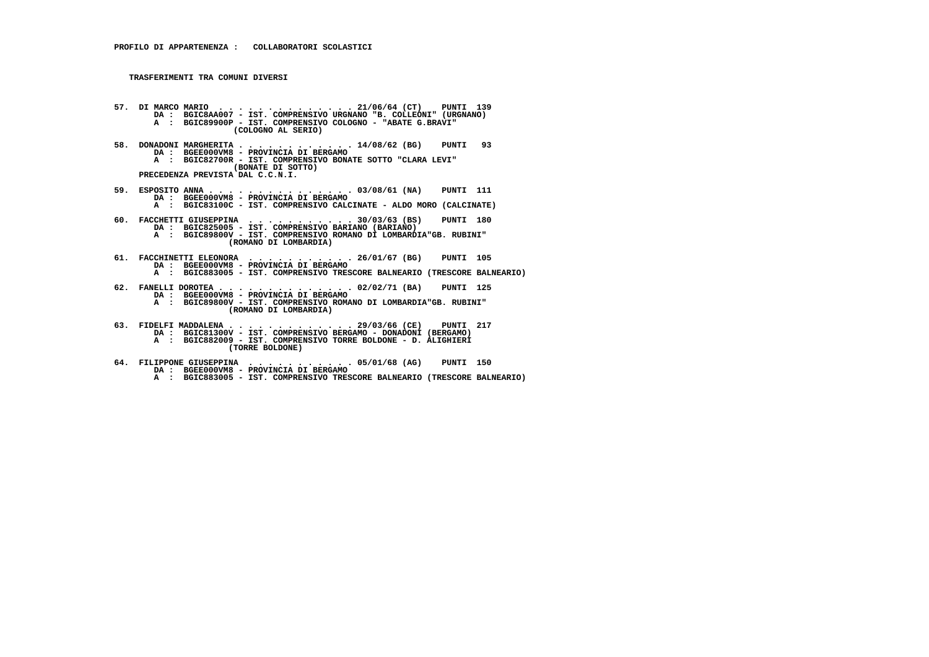- **57. DI MARCO MARIO . . . . . . . . . . . . . . 21/06/64 (CT) PUNTI 139 DA : BGIC8AA007 IST. COMPRENSIVO URGNANO "B. COLLEONI" (URGNANO) A : BGIC89900P - IST. COMPRENSIVO COLOGNO - "ABATE G.BRAVI" (COLOGNO AL SERIO)**
- **58. DONADONI MARGHERITA . . . . . . . . . . . . 14/08/62 (BG) PUNTI 93 DA : BGEE000VM8 PROVINCIA DI BERGAMO A : BGIC82700R - IST. COMPRENSIVO BONATE SOTTO "CLARA LEVI" (BONATE DI SOTTO) PRECEDENZA PREVISTA DAL C.C.N.I.**
	-
- **59. ESPOSITO ANNA . . . . . . . . . . . . . . . 03/08/61 (NA) PUNTI 111 DA : BGEE000VM8 PROVINCIA DI BERGAMO A : BGIC83100C - IST. COMPRENSIVO CALCINATE - ALDO MORO (CALCINATE)**
- **60. FACCHETTI GIUSEPPINA . . . . . . . . . . . 30/03/63 (BS) PUNTI 180 DA : BGIC825005 IST. COMPRENSIVO BARIANO (BARIANO) A : BGIC89800V - IST. COMPRENSIVO ROMANO DI LOMBARDIA"GB. RUBINI" (ROMANO DI LOMBARDIA)**
- **61. FACCHINETTI ELEONORA . . . . . . . . . . . 26/01/67 (BG) PUNTI 105 DA : BGEE000VM8 PROVINCIA DI BERGAMO A : BGIC883005 - IST. COMPRENSIVO TRESCORE BALNEARIO (TRESCORE BALNEARIO)**
- **62. FANELLI DOROTEA . . . . . . . . . . . . . . 02/02/71 (BA) PUNTI 125 DA : BGEE000VM8 PROVINCIA DI BERGAMO A : BGIC89800V - IST. COMPRENSIVO ROMANO DI LOMBARDIA"GB. RUBINI" (ROMANO DI LOMBARDIA)**
- **63. FIDELFI MADDALENA . . . . . . . . . . . . . 29/03/66 (CE) PUNTI 217 DA : BGIC81300V IST. COMPRENSIVO BERGAMO DONADONI (BERGAMO) A : BGIC882009 - IST. COMPRENSIVO TORRE BOLDONE - D. ALIGHIERI (TORRE BOLDONE)**
- **64. FILIPPONE GIUSEPPINA . . . . . . . . . . . 05/01/68 (AG) PUNTI 150 DA : BGEE000VM8 - PROVINCIA DI BERGAMO A : BGIC883005 - IST. COMPRENSIVO TRESCORE BALNEARIO (TRESCORE BALNEARIO)**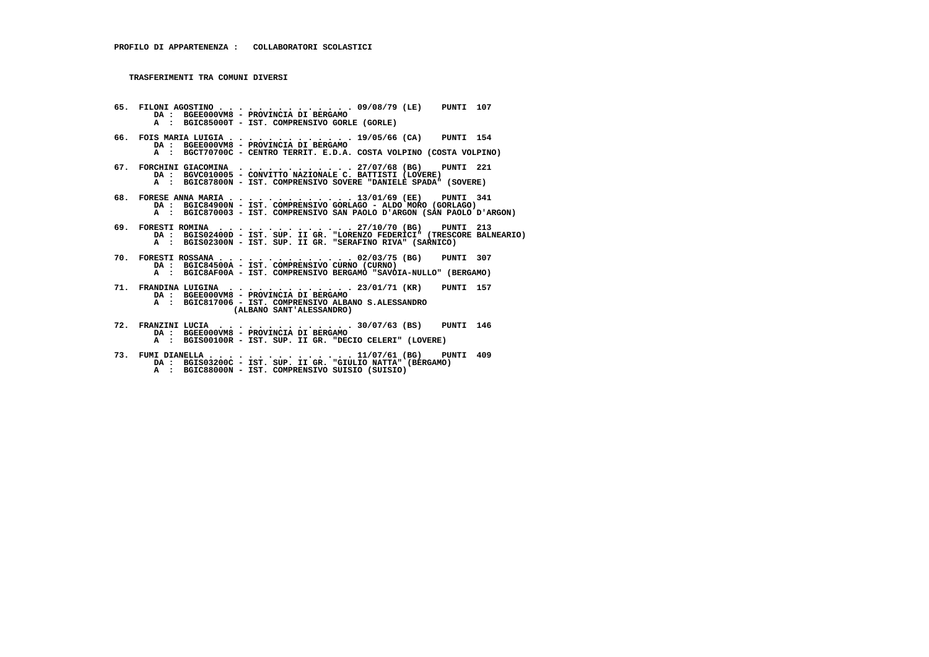**65. FILONI AGOSTINO . . . . . . . . . . . . . . 09/08/79 (LE) PUNTI 107 DA : BGEE000VM8 - PROVINCIA DI BERGAMO A : BGIC85000T - IST. COMPRENSIVO GORLE (GORLE) 66. FOIS MARIA LUIGIA . . . . . . . . . . . . . 19/05/66 (CA) PUNTI 154 DA : BGEE000VM8 - PROVINCIA DI BERGAMO A : BGCT70700C - CENTRO TERRIT. E.D.A. COSTA VOLPINO (COSTA VOLPINO) 67. FORCHINI GIACOMINA . . . . . . . . . . . . 27/07/68 (BG) PUNTI 221 DA : BGVC010005 - CONVITTO NAZIONALE C. BATTISTI (LOVERE) A : BGIC87800N - IST. COMPRENSIVO SOVERE "DANIELE SPADA" (SOVERE) 68. FORESE ANNA MARIA . . . . . . . . . . . . . 13/01/69 (EE) PUNTI 341 DA : BGIC84900N - IST. COMPRENSIVO GORLAGO - ALDO MORO (GORLAGO) A : BGIC870003 - IST. COMPRENSIVO SAN PAOLO D'ARGON (SAN PAOLO D'ARGON) 69. FORESTI ROMINA . . . . . . . . . . . . . . 27/10/70 (BG) PUNTI 213 DA : BGIS02400D - IST. SUP. II GR. "LORENZO FEDERICI" (TRESCORE BALNEARIO) A : BGIS02300N - IST. SUP. II GR. "SERAFINO RIVA" (SARNICO) 70. FORESTI ROSSANA . . . . . . . . . . . . . . 02/03/75 (BG) PUNTI 307 DA : BGIC84500A - IST. COMPRENSIVO CURNO (CURNO) A : BGIC8AF00A - IST. COMPRENSIVO BERGAMO "SAVOIA-NULLO" (BERGAMO) 71. FRANDINA LUIGINA . . . . . . . . . . . . . 23/01/71 (KR) PUNTI 157 DA : BGEE000VM8 - PROVINCIA DI BERGAMO A : BGIC817006 - IST. COMPRENSIVO ALBANO S.ALESSANDRO (ALBANO SANT'ALESSANDRO) 72. FRANZINI LUCIA . . . . . . . . . . . . . . 30/07/63 (BS) PUNTI 146 DA : BGEE000VM8 - PROVINCIA DI BERGAMO A : BGIS00100R - IST. SUP. II GR. "DECIO CELERI" (LOVERE)**

 **73. FUMI DIANELLA . . . . . . . . . . . . . . . 11/07/61 (BG) PUNTI 409 DA : BGIS03200C - IST. SUP. II GR. "GIULIO NATTA" (BERGAMO) A : BGIC88000N - IST. COMPRENSIVO SUISIO (SUISIO)**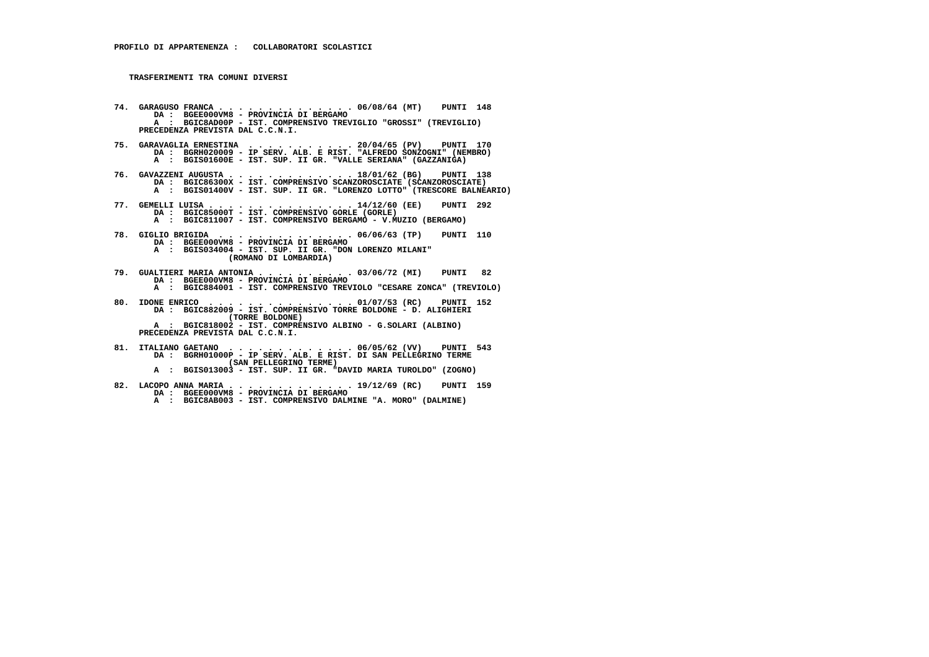- **74. GARAGUSO FRANCA . . . . . . . . . . . . . . 06/08/64 (MT) PUNTI 148 DA : BGEE000VM8 PROVINCIA DI BERGAMO A : BGIC8AD00P - IST. COMPRENSIVO TREVIGLIO "GROSSI" (TREVIGLIO) PRECEDENZA PREVISTA DAL C.C.N.I.**
- **75. GARAVAGLIA ERNESTINA . . . . . . . . . . . 20/04/65 (PV) PUNTI 170 DA : BGRH020009 IP SERV. ALB. E RIST. "ALFREDO SONZOGNI" (NEMBRO) A : BGIS01600E - IST. SUP. II GR. "VALLE SERIANA" (GAZZANIGA)**
- **76. GAVAZZENI AUGUSTA . . . . . . . . . . . . . 18/01/62 (BG) PUNTI 138 DA : BGIC86300X IST. COMPRENSIVO SCANZOROSCIATE (SCANZOROSCIATE) A : BGIS01400V - IST. SUP. II GR. "LORENZO LOTTO" (TRESCORE BALNEARIO)**
- **77. GEMELLI LUISA . . . . . . . . . . . . . . . 14/12/60 (EE) PUNTI 292 DA : BGIC85000T IST. COMPRENSIVO GORLE (GORLE) A : BGIC811007 - IST. COMPRENSIVO BERGAMO - V.MUZIO (BERGAMO)**
- **78. GIGLIO BRIGIDA . . . . . . . . . . . . . . 06/06/63 (TP) PUNTI 110 DA : BGEE000VM8 - PROVINCIA DI BERGAMO A : BGIS034004 - IST. SUP. II GR. "DON LORENZO MILANI" (ROMANO DI LOMBARDIA)**
	-
	- **79. GUALTIERI MARIA ANTONIA . . . . . . . . . . 03/06/72 (MI) PUNTI 82 DA : BGEE000VM8 - PROVINCIA DI BERGAMO**
- **A : BGIC884001 IST. COMPRENSIVO TREVIOLO "CESARE ZONCA" (TREVIOLO)**
- **80. IDONE ENRICO . . . . . . . . . . . . . . . 01/07/53 (RC) PUNTI 152 DA : BGIC882009 IST. COMPRENSIVO TORRE BOLDONE D. ALIGHIERI (TORRE BOLDONE)**
- **A : BGIC818002 IST. COMPRENSIVO ALBINO G.SOLARI (ALBINO) PRECEDENZA PREVISTA DAL C.C.N.I.**
- **81. ITALIANO GAETANO . . . . . . . . . . . . . 06/05/62 (VV) PUNTI 543 DA : BGRH01000P IP SERV. ALB. E RIST. DI SAN PELLEGRINO TERME (SAN PELLEGRINO TERME)**
- **A : BGIS013003 IST. SUP. II GR. "DAVID MARIA TUROLDO" (ZOGNO)**
- **82. LACOPO ANNA MARIA . . . . . . . . . . . . . 19/12/69 (RC) PUNTI 159 DA : BGEE000VM8 PROVINCIA DI BERGAMO A : BGIC8AB003 - IST. COMPRENSIVO DALMINE "A. MORO" (DALMINE)**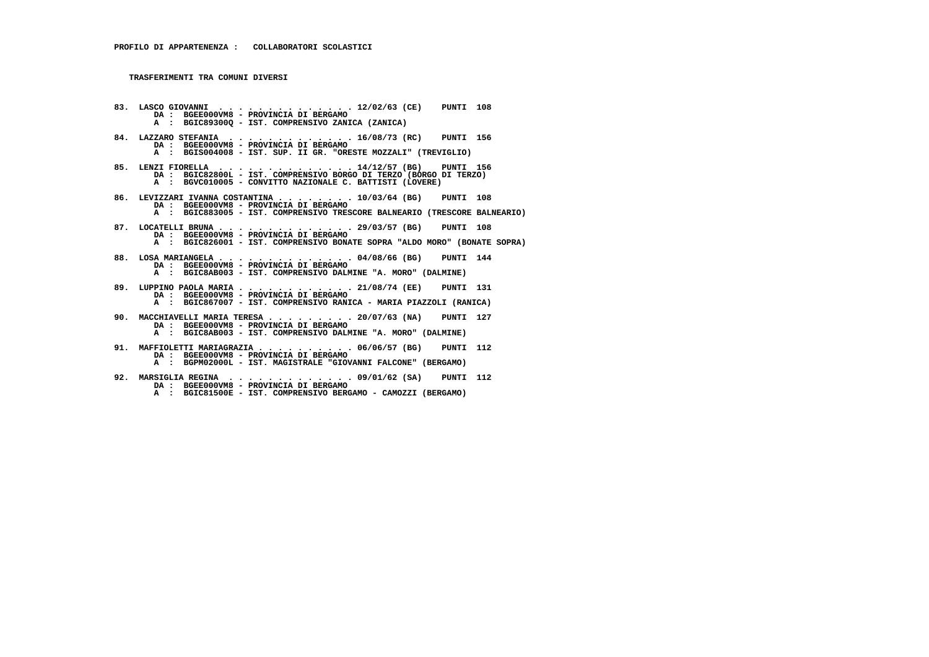**83. LASCO GIOVANNI . . . . . . . . . . . . . . 12/02/63 (CE) PUNTI 108 DA : BGEE000VM8 - PROVINCIA DI BERGAMO A : BGIC89300Q - IST. COMPRENSIVO ZANICA (ZANICA) 84. LAZZARO STEFANIA . . . . . . . . . . . . . 16/08/73 (RC) PUNTI 156 DA : BGEE000VM8 - PROVINCIA DI BERGAMO A : BGIS004008 - IST. SUP. II GR. "ORESTE MOZZALI" (TREVIGLIO) 85. LENZI FIORELLA . . . . . . . . . . . . . . 14/12/57 (BG) PUNTI 156 DA : BGIC82800L - IST. COMPRENSIVO BORGO DI TERZO (BORGO DI TERZO) A : BGVC010005 - CONVITTO NAZIONALE C. BATTISTI (LOVERE) 86. LEVIZZARI IVANNA COSTANTINA . . . . . . . . 10/03/64 (BG) PUNTI 108 DA : BGEE000VM8 - PROVINCIA DI BERGAMO A : BGIC883005 - IST. COMPRENSIVO TRESCORE BALNEARIO (TRESCORE BALNEARIO) 87. LOCATELLI BRUNA . . . . . . . . . . . . . . 29/03/57 (BG) PUNTI 108 DA : BGEE000VM8 - PROVINCIA DI BERGAMO A : BGIC826001 - IST. COMPRENSIVO BONATE SOPRA "ALDO MORO" (BONATE SOPRA) 88. LOSA MARIANGELA . . . . . . . . . . . . . . 04/08/66 (BG) PUNTI 144 DA : BGEE000VM8 - PROVINCIA DI BERGAMO A : BGIC8AB003 - IST. COMPRENSIVO DALMINE "A. MORO" (DALMINE) 89. LUPPINO PAOLA MARIA . . . . . . . . . . . . 21/08/74 (EE) PUNTI 131 DA : BGEE000VM8 - PROVINCIA DI BERGAMO A : BGIC867007 - IST. COMPRENSIVO RANICA - MARIA PIAZZOLI (RANICA) 90. MACCHIAVELLI MARIA TERESA . . . . . . . . . 20/07/63 (NA) PUNTI 127**DA : BGEE000VM8 - PROVINCIA DI BERGAMO<br>A : BGIC8AB003 - IST. COMPRENSIVO DALMINE "A. MORO" (DALMINE)  **91. MAFFIOLETTI MARIAGRAZIA . . . . . . . . . . 06/06/57 (BG) PUNTI 112 DA : BGEE000VM8 - PROVINCIA DI BERGAMO A : BGPM02000L - IST. MAGISTRALE "GIOVANNI FALCONE" (BERGAMO) 92. MARSIGLIA REGINA . . . . . . . . . . . . . 09/01/62 (SA) PUNTI 112**

 **DA : BGEE000VM8 - PROVINCIA DI BERGAMO**

 **A : BGIC81500E - IST. COMPRENSIVO BERGAMO - CAMOZZI (BERGAMO)**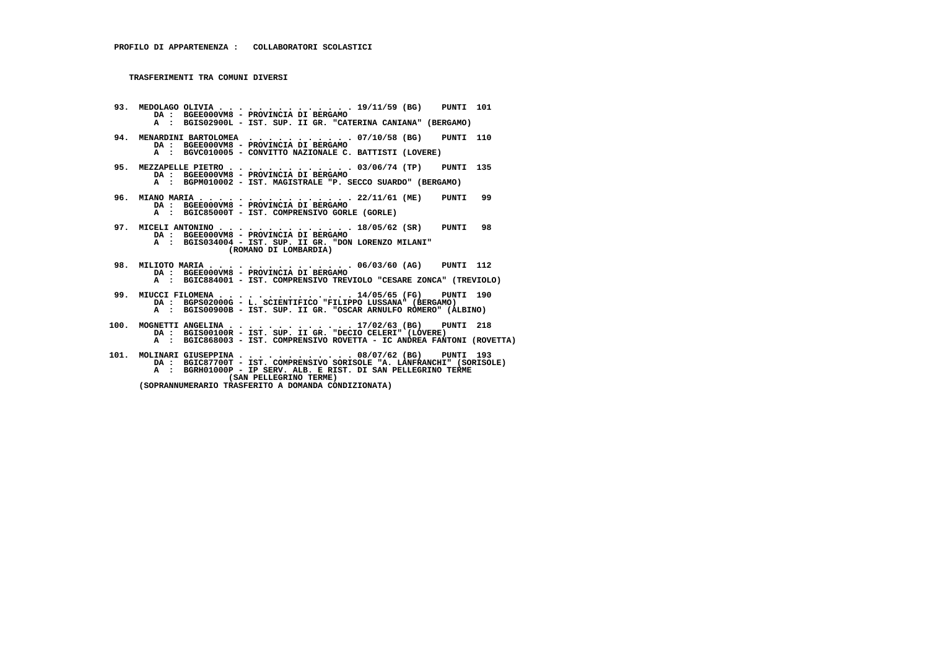- **93. MEDOLAGO OLIVIA . . . . . . . . . . . . . . 19/11/59 (BG) PUNTI 101 DA : BGEE000VM8 PROVINCIA DI BERGAMO A : BGIS02900L - IST. SUP. II GR. "CATERINA CANIANA" (BERGAMO) 94. MENARDINI BARTOLOMEA . . . . . . . . . . . 07/10/58 (BG) PUNTI 110 DA : BGEE000VM8 - PROVINCIA DI BERGAMO A : BGVC010005 - CONVITTO NAZIONALE C. BATTISTI (LOVERE) 95. MEZZAPELLE PIETRO . . . . . . . . . . . . . 03/06/74 (TP) PUNTI 135 DA : BGEE000VM8 - PROVINCIA DI BERGAMO A : BGPM010002 - IST. MAGISTRALE "P. SECCO SUARDO" (BERGAMO) 96. MIANO MARIA . . . . . . . . . . . . . . . . 22/11/61 (ME) PUNTI 99 DA : BGEE000VM8 - PROVINCIA DI BERGAMO A : BGIC85000T - IST. COMPRENSIVO GORLE (GORLE) 97. MICELI ANTONINO . . . . . . . . . . . . . . 18/05/62 (SR) PUNTI 98 DA : BGEE000VM8 - PROVINCIA DI BERGAMO A : BGIS034004 - IST. SUP. II GR. "DON LORENZO MILANI" (ROMANO DI LOMBARDIA) 98. MILIOTO MARIA . . . . . . . . . . . . . . . 06/03/60 (AG) PUNTI 112 DA : BGEE000VM8 - PROVINCIA DI BERGAMO A : BGIC884001 - IST. COMPRENSIVO TREVIOLO "CESARE ZONCA" (TREVIOLO) 99. MIUCCI FILOMENA . . . . . . . . . . . . . . 14/05/65 (FG) PUNTI 190 DA : BGPS02000G - L. SCIENTIFICO "FILIPPO LUSSANA" (BERGAMO) A : BGIS00900B - IST. SUP. II GR. "OSCAR ARNULFO ROMERO" (ALBINO) 100. MOGNETTI ANGELINA . . . . . . . . . . . . . 17/02/63 (BG) PUNTI 218 DA : BGIS00100R - IST. SUP. II GR. "DECIO CELERI" (LOVERE) A : BGIC868003 - IST. COMPRENSIVO ROVETTA - IC ANDREA FANTONI (ROVETTA) 101. MOLINARI GIUSEPPINA . . . . . . . . . . . . 08/07/62 (BG) PUNTI 193 DA : BGIC87700T - IST. COMPRENSIVO SORISOLE "A. LANFRANCHI" (SORISOLE) A : BGRH01000P - IP SERV. ALB. E RIST. DI SAN PELLEGRINO TERME (SAN PELLEGRINO TERME)**
- **(SOPRANNUMERARIO TRASFERITO A DOMANDA CONDIZIONATA)**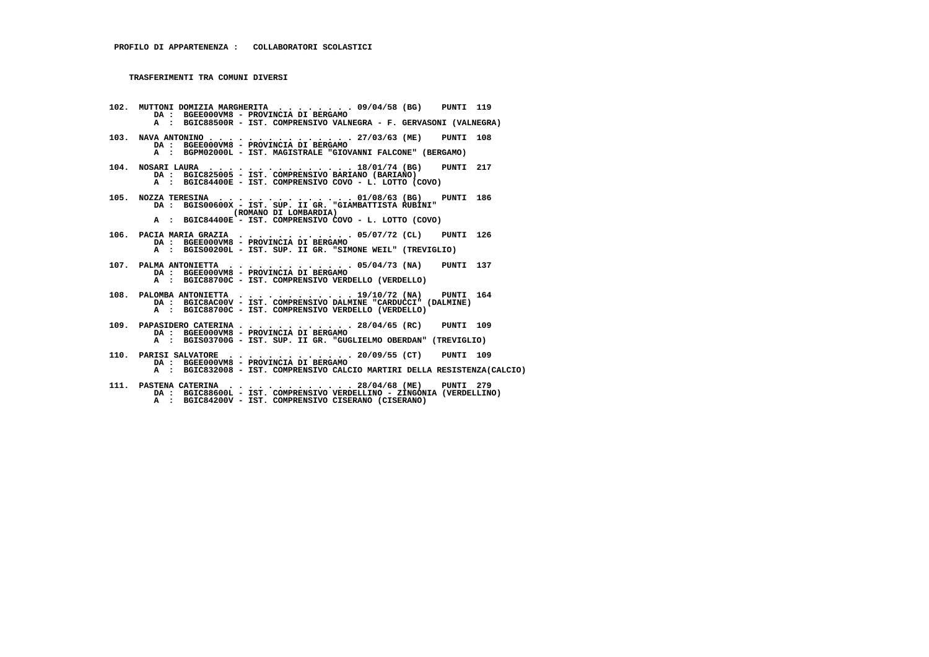**102. MUTTONI DOMIZIA MARGHERITA . . . . . . . . 09/04/58 (BG) PUNTI 119 DA : BGEE000VM8 - PROVINCIA DI BERGAMO A : BGIC88500R - IST. COMPRENSIVO VALNEGRA - F. GERVASONI (VALNEGRA) 103. NAVA ANTONINO . . . . . . . . . . . . . . . 27/03/63 (ME) PUNTI 108 DA : BGEE000VM8 - PROVINCIA DI BERGAMO A : BGPM02000L - IST. MAGISTRALE "GIOVANNI FALCONE" (BERGAMO) 104. NOSARI LAURA . . . . . . . . . . . . . . . 18/01/74 (BG) PUNTI 217 DA : BGIC825005 - IST. COMPRENSIVO BARIANO (BARIANO) A : BGIC84400E - IST. COMPRENSIVO COVO - L. LOTTO (COVO) 105. NOZZA TERESINA . . . . . . . . . . . . . . 01/08/63 (BG) PUNTI 186 DA : BGIS00600X - IST. SUP. II GR. "GIAMBATTISTA RUBINI" (ROMANO DI LOMBARDIA) A : BGIC84400E - IST. COMPRENSIVO COVO - L. LOTTO (COVO) 106. PACIA MARIA GRAZIA . . . . . . . . . . . . 05/07/72 (CL) PUNTI 126 DA : BGEE000VM8 - PROVINCIA DI BERGAMO A : BGIS00200L - IST. SUP. II GR. "SIMONE WEIL" (TREVIGLIO) 107. PALMA ANTONIETTA . . . . . . . . . . . . . 05/04/73 (NA) PUNTI 137 DA : BGEE000VM8 - PROVINCIA DI BERGAMO A : BGIC88700C - IST. COMPRENSIVO VERDELLO (VERDELLO) 108. PALOMBA ANTONIETTA . . . . . . . . . . . . 19/10/72 (NA) PUNTI 164 DA : BGIC8AC00V - IST. COMPRENSIVO DALMINE "CARDUCCI" (DALMINE) A : BGIC88700C - IST. COMPRENSIVO VERDELLO (VERDELLO) 109. PAPASIDERO CATERINA . . . . . . . . . . . . 28/04/65 (RC) PUNTI 109 DA : BGEE000VM8 - PROVINCIA DI BERGAMO A : BGIS03700G - IST. SUP. II GR. "GUGLIELMO OBERDAN" (TREVIGLIO) 110. PARISI SALVATORE . . . . . . . . . . . . . 20/09/55 (CT) PUNTI 109 DA : BGEE000VM8 - PROVINCIA DI BERGAMO A : BGIC832008 - IST. COMPRENSIVO CALCIO MARTIRI DELLA RESISTENZA(CALCIO) 111. PASTENA CATERINA . . . . . . . . . . . . . 28/04/68 (ME) PUNTI 279 DA : BGIC88600L - IST. COMPRENSIVO VERDELLINO - ZINGONIA (VERDELLINO) A : BGIC84200V - IST. COMPRENSIVO CISERANO (CISERANO)**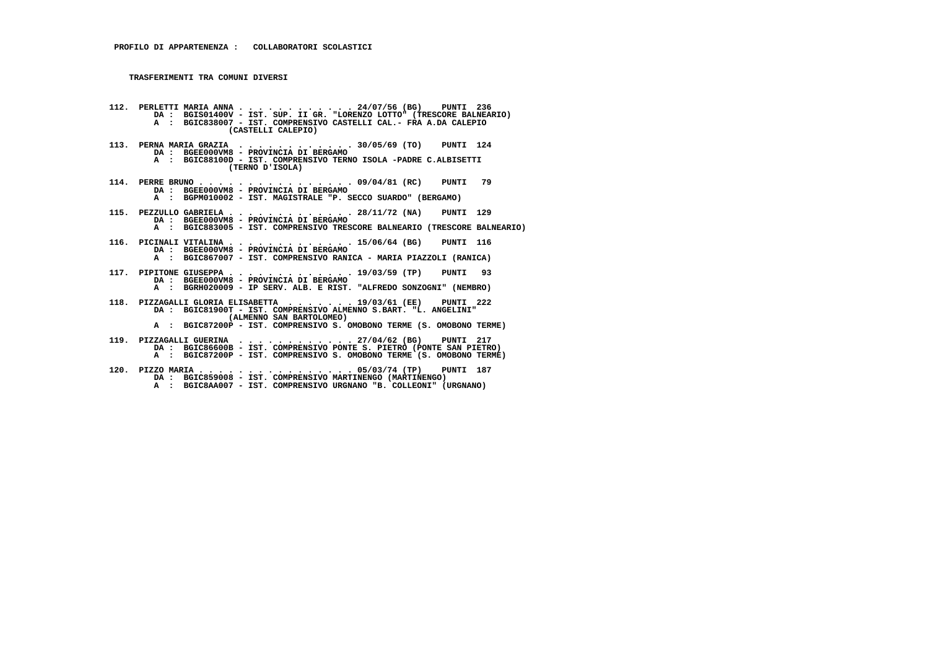- **112. PERLETTI MARIA ANNA . . . . . . . . . . . . 24/07/56 (BG) PUNTI 236 DA : BGIS01400V IST. SUP. II GR. "LORENZO LOTTO" (TRESCORE BALNEARIO) A : BGIC838007 - IST. COMPRENSIVO CASTELLI CAL.- FRA A.DA CALEPIO (CASTELLI CALEPIO) 113. PERNA MARIA GRAZIA . . . . . . . . . . . . 30/05/69 (TO) PUNTI 124 DA : BGEE000VM8 - PROVINCIA DI BERGAMO A : BGIC88100D - IST. COMPRENSIVO TERNO ISOLA -PADRE C.ALBISETTI (TERNO D'ISOLA) 114. PERRE BRUNO . . . . . . . . . . . . . . . . 09/04/81 (RC) PUNTI 79 DA : BGEE000VM8 - PROVINCIA DI BERGAMO A : BGPM010002 - IST. MAGISTRALE "P. SECCO SUARDO" (BERGAMO) 115. PEZZULLO GABRIELA . . . . . . . . . . . . . 28/11/72 (NA) PUNTI 129 DA : BGEE000VM8 - PROVINCIA DI BERGAMO A : BGIC883005 - IST. COMPRENSIVO TRESCORE BALNEARIO (TRESCORE BALNEARIO) 116. PICINALI VITALINA . . . . . . . . . . . . . 15/06/64 (BG) PUNTI 116 DA : BGEE000VM8 - PROVINCIA DI BERGAMO A : BGIC867007 - IST. COMPRENSIVO RANICA - MARIA PIAZZOLI (RANICA) 117. PIPITONE GIUSEPPA . . . . . . . . . . . . . 19/03/59 (TP) PUNTI 93 DA : BGEE000VM8 - PROVINCIA DI BERGAMO A : BGRH020009 - IP SERV. ALB. E RIST. "ALFREDO SONZOGNI" (NEMBRO) 118. PIZZAGALLI GLORIA ELISABETTA . . . . . . . 19/03/61 (EE) PUNTI 222 DA : BGIC81900T - IST. COMPRENSIVO ALMENNO S.BART. "L. ANGELINI" (ALMENNO SAN BARTOLOMEO) A : BGIC87200P - IST. COMPRENSIVO S. OMOBONO TERME (S. OMOBONO TERME) 119. PIZZAGALLI GUERINA . . . . . . . . . . . . 27/04/62 (BG) PUNTI 217 DA : BGIC86600B - IST. COMPRENSIVO PONTE S. PIETRO (PONTE SAN PIETRO)**
- **A : BGIC87200P IST. COMPRENSIVO S. OMOBONO TERME (S. OMOBONO TERME)**
- **120. PIZZO MARIA . . . . . . . . . . . . . . . . 05/03/74 (TP) PUNTI 187 DA : BGIC859008 IST. COMPRENSIVO MARTINENGO (MARTINENGO) A : BGIC8AA007 - IST. COMPRENSIVO URGNANO "B. COLLEONI" (URGNANO)**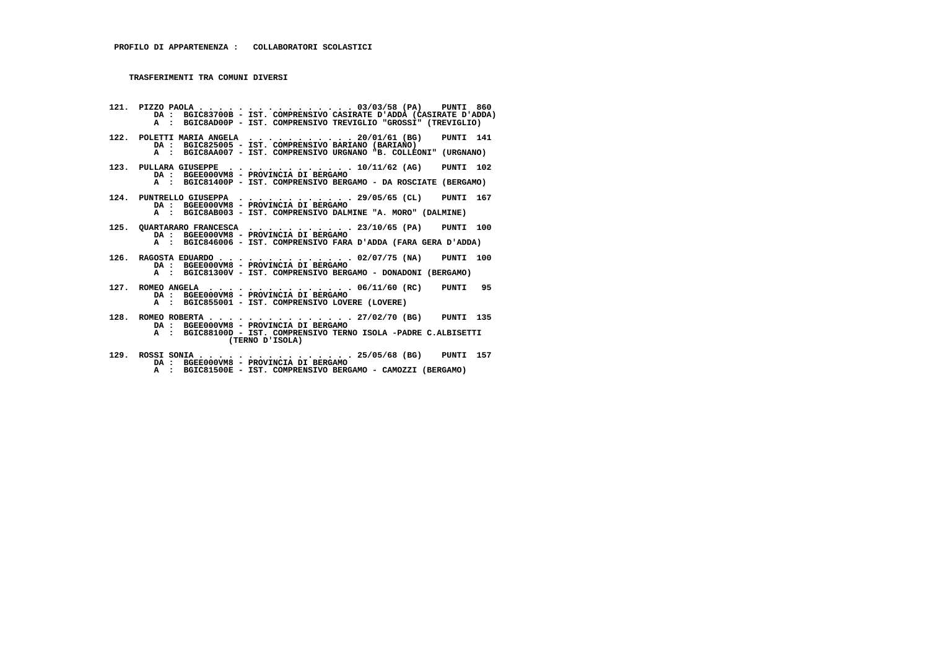**121. PIZZO PAOLA . . . . . . . . . . . . . . . . 03/03/58 (PA) PUNTI 860 DA : BGIC83700B - IST. COMPRENSIVO CASIRATE D'ADDA (CASIRATE D'ADDA) A : BGIC8AD00P - IST. COMPRENSIVO TREVIGLIO "GROSSI" (TREVIGLIO) 122. POLETTI MARIA ANGELA . . . . . . . . . . . 20/01/61 (BG) PUNTI 141 DA : BGIC825005 - IST. COMPRENSIVO BARIANO (BARIANO) A : BGIC8AA007 - IST. COMPRENSIVO URGNANO "B. COLLEONI" (URGNANO) 123. PULLARA GIUSEPPE . . . . . . . . . . . . . 10/11/62 (AG) PUNTI 102 DA : BGEE000VM8 - PROVINCIA DI BERGAMO A : BGIC81400P - IST. COMPRENSIVO BERGAMO - DA ROSCIATE (BERGAMO) 124. PUNTRELLO GIUSEPPA . . . . . . . . . . . . 29/05/65 (CL) PUNTI 167 DA : BGEE000VM8 - PROVINCIA DI BERGAMO A : BGIC8AB003 - IST. COMPRENSIVO DALMINE "A. MORO" (DALMINE) 125. QUARTARARO FRANCESCA . . . . . . . . . . . 23/10/65 (PA) PUNTI 100 DA : BGEE000VM8 - PROVINCIA DI BERGAMO A : BGIC846006 - IST. COMPRENSIVO FARA D'ADDA (FARA GERA D'ADDA) 126. RAGOSTA EDUARDO . . . . . . . . . . . . . . 02/07/75 (NA) PUNTI 100 DA : BGEE000VM8 - PROVINCIA DI BERGAMO A : BGIC81300V - IST. COMPRENSIVO BERGAMO - DONADONI (BERGAMO) 127. ROMEO ANGELA . . . . . . . . . . . . . . . 06/11/60 (RC) PUNTI 95 DA : BGEE000VM8 - PROVINCIA DI BERGAMO A : BGIC855001 - IST. COMPRENSIVO LOVERE (LOVERE) 128. ROMEO ROBERTA . . . . . . . . . . . . . . . 27/02/70 (BG) PUNTI 135 DA : BGEE000VM8 - PROVINCIA DI BERGAMO A : BGIC88100D - IST. COMPRENSIVO TERNO ISOLA -PADRE C.ALBISETTI (TERNO D'ISOLA)**

- **129. ROSSI SONIA . . . . . . . . . . . . . . . . 25/05/68 (BG) PUNTI 157 DA : BGEE000VM8 PROVINCIA DI BERGAMO**
- **A : BGIC81500E IST. COMPRENSIVO BERGAMO CAMOZZI (BERGAMO)**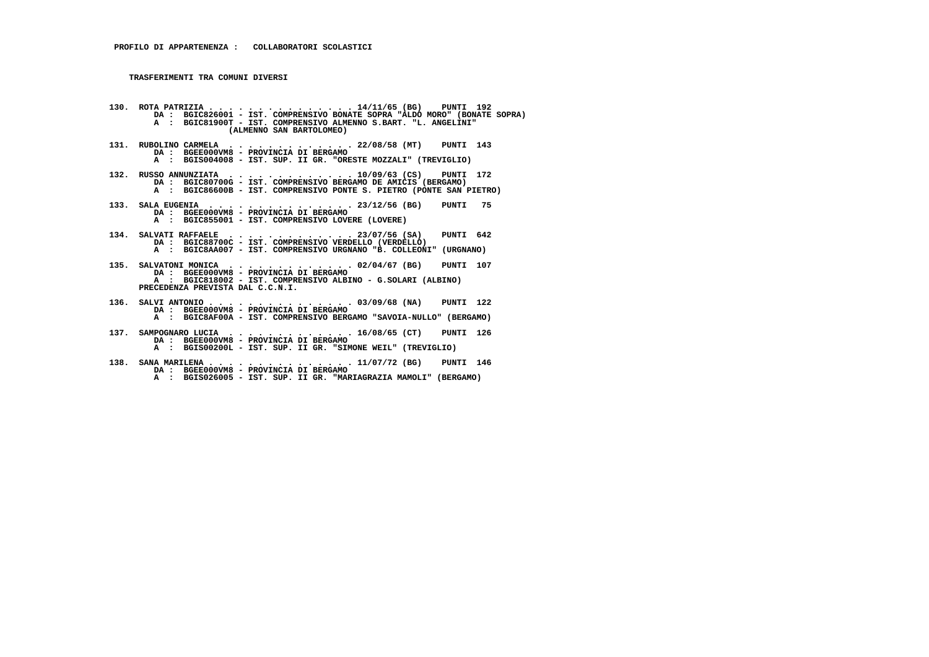**130. ROTA PATRIZIA . . . . . . . . . . . . . . . 14/11/65 (BG) PUNTI 192 DA : BGIC826001 - IST. COMPRENSIVO BONATE SOPRA "ALDO MORO" (BONATE SOPRA) A : BGIC81900T - IST. COMPRENSIVO ALMENNO S.BART. "L. ANGELINI" (ALMENNO SAN BARTOLOMEO)**

- **131. RUBOLINO CARMELA . . . . . . . . . . . . . 22/08/58 (MT) PUNTI 143 DA : BGEE000VM8 PROVINCIA DI BERGAMO A : BGIS004008 - IST. SUP. II GR. "ORESTE MOZZALI" (TREVIGLIO)**
- **132. RUSSO ANNUNZIATA . . . . . . . . . . . . . 10/09/63 (CS) PUNTI 172 DA : BGIC80700G IST. COMPRENSIVO BERGAMO DE AMICIS (BERGAMO) A : BGIC86600B - IST. COMPRENSIVO PONTE S. PIETRO (PONTE SAN PIETRO)**
- **133. SALA EUGENIA . . . . . . . . . . . . . . . 23/12/56 (BG) PUNTI 75 DA : BGEE000VM8 - PROVINCIA DI BERGAMO A : BGIC855001 - IST. COMPRENSIVO LOVERE (LOVERE)**
- **134. SALVATI RAFFAELE . . . . . . . . . . . . . 23/07/56 (SA) PUNTI 642 DA : BGIC88700C - IST. COMPRENSIVO VERDELLO (VERDELLO) A : BGIC8AA007 - IST. COMPRENSIVO URGNANO "B. COLLEONI" (URGNANO)**
- **135. SALVATONI MONICA . . . . . . . . . . . . . 02/04/67 (BG) PUNTI 107 DA : BGEE000VM8 PROVINCIA DI BERGAMO A : BGIC818002 - IST. COMPRENSIVO ALBINO - G.SOLARI (ALBINO) PRECEDENZA PREVISTA DAL C.C.N.I.**
- **136. SALVI ANTONIO . . . . . . . . . . . . . . . 03/09/68 (NA) PUNTI 122 DA : BGEE000VM8 PROVINCIA DI BERGAMO A : BGIC8AF00A - IST. COMPRENSIVO BERGAMO "SAVOIA-NULLO" (BERGAMO)**
- **137. SAMPOGNARO LUCIA . . . . . . . . . . . . . 16/08/65 (CT) PUNTI 126 DA : BGEE000VM8 - PROVINCIA DI BERGAMO A : BGIS00200L - IST. SUP. II GR. "SIMONE WEIL" (TREVIGLIO)**
- **138. SANA MARILENA . . . . . . . . . . . . . . . 11/07/72 (BG) PUNTI 146 DA : BGEE000VM8 - PROVINCIA DI BERGAMO A : BGIS026005 - IST. SUP. II GR. "MARIAGRAZIA MAMOLI" (BERGAMO)**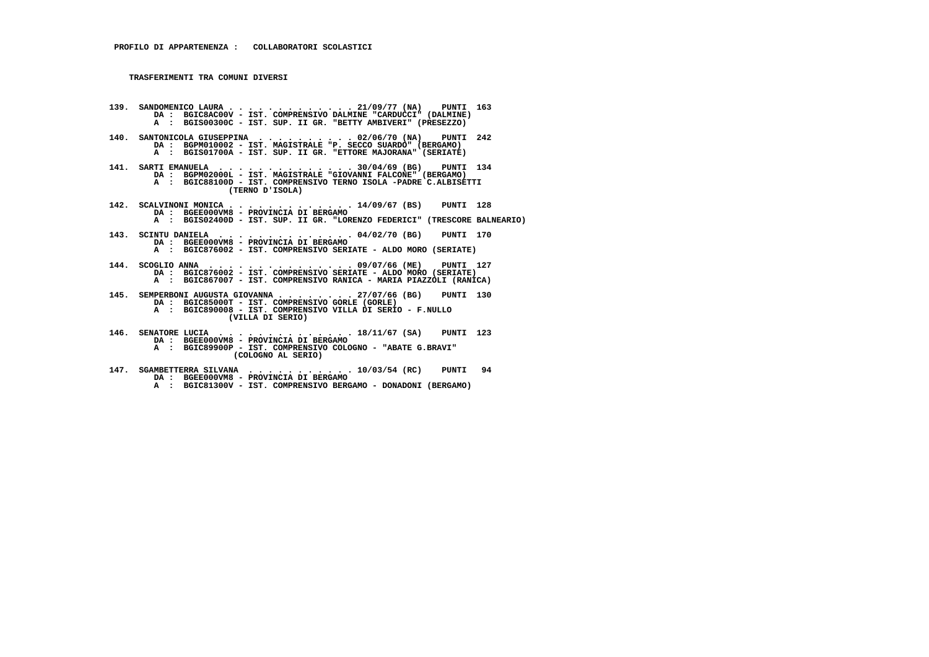- **139. SANDOMENICO LAURA . . . . . . . . . . . . . 21/09/77 (NA) PUNTI 163 DA : BGIC8AC00V - IST. COMPRENSIVO DALMINE "CARDUCCI" (DALMINE) A : BGIS00300C - IST. SUP. II GR. "BETTY AMBIVERI" (PRESEZZO)**
- **140. SANTONICOLA GIUSEPPINA . . . . . . . . . . 02/06/70 (NA) PUNTI 242 DA : BGPM010002 - IST. MAGISTRALE "P. SECCO SUARDO" (BERGAMO) A : BGIS01700A - IST. SUP. II GR. "ETTORE MAJORANA" (SERIATE)**
- **141. SARTI EMANUELA . . . . . . . . . . . . . . 30/04/69 (BG) PUNTI 134 DA : BGPM02000L IST. MAGISTRALE "GIOVANNI FALCONE" (BERGAMO) A : BGIC88100D - IST. COMPRENSIVO TERNO ISOLA -PADRE C.ALBISETTI (TERNO D'ISOLA)**
- **142. SCALVINONI MONICA . . . . . . . . . . . . . 14/09/67 (BS) PUNTI 128 DA : BGEE000VM8 PROVINCIA DI BERGAMO A : BGIS02400D - IST. SUP. II GR. "LORENZO FEDERICI" (TRESCORE BALNEARIO)**
- **143. SCINTU DANIELA . . . . . . . . . . . . . . 04/02/70 (BG) PUNTI 170 DA : BGEE000VM8 - PROVINCIA DI BERGAMO A : BGIC876002 - IST. COMPRENSIVO SERIATE - ALDO MORO (SERIATE)**
- **144. SCOGLIO ANNA . . . . . . . . . . . . . . . 09/07/66 (ME) PUNTI 127 DA : BGIC876002 IST. COMPRENSIVO SERIATE ALDO MORO (SERIATE) A : BGIC867007 - IST. COMPRENSIVO RANICA - MARIA PIAZZOLI (RANICA)**
- **145. SEMPERBONI AUGUSTA GIOVANNA . . . . . . . . 27/07/66 (BG) PUNTI 130 DA : BGIC85000T - IST. COMPRENSIVO GORLE (GORLE)**
- **A : BGIC890008 IST. COMPRENSIVO VILLA DI SERIO F.NULLO**
	- **(VILLA DI SERIO)**
- **146. SENATORE LUCIA . . . . . . . . . . . . . . 18/11/67 (SA) PUNTI 123 DA : BGEE000VM8 - PROVINCIA DI BERGAMO**
- **A : BGIC89900P IST. COMPRENSIVO COLOGNO "ABATE G.BRAVI" (COLOGNO AL SERIO)**
- **147. SGAMBETTERRA SILVANA . . . . . . . . . . . 10/03/54 (RC) PUNTI 94 DA : BGEE000VM8 PROVINCIA DI BERGAMO A : BGIC81300V - IST. COMPRENSIVO BERGAMO - DONADONI (BERGAMO)**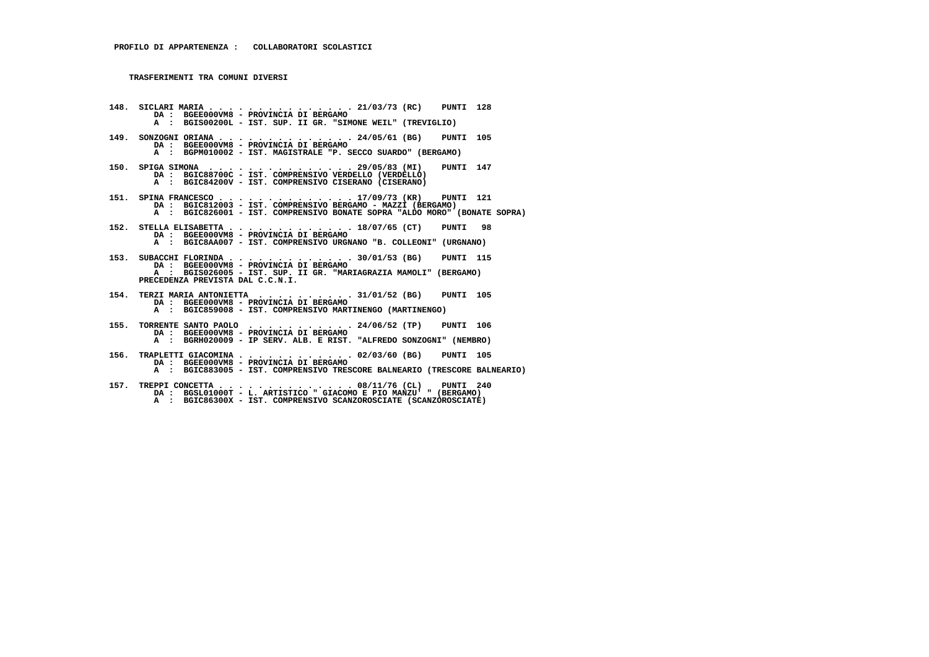**148. SICLARI MARIA . . . . . . . . . . . . . . . 21/03/73 (RC) PUNTI 128 DA : BGEE000VM8 - PROVINCIA DI BERGAMO A : BGIS00200L - IST. SUP. II GR. "SIMONE WEIL" (TREVIGLIO) 149. SONZOGNI ORIANA . . . . . . . . . . . . . . 24/05/61 (BG) PUNTI 105 DA : BGEE000VM8 - PROVINCIA DI BERGAMO A : BGPM010002 - IST. MAGISTRALE "P. SECCO SUARDO" (BERGAMO) 150. SPIGA SIMONA . . . . . . . . . . . . . . . 29/05/83 (MI) PUNTI 147 DA : BGIC88700C - IST. COMPRENSIVO VERDELLO (VERDELLO) A : BGIC84200V - IST. COMPRENSIVO CISERANO (CISERANO) 151. SPINA FRANCESCO . . . . . . . . . . . . . . 17/09/73 (KR) PUNTI 121 DA : BGIC812003 - IST. COMPRENSIVO BERGAMO - MAZZI (BERGAMO) A : BGIC826001 - IST. COMPRENSIVO BONATE SOPRA "ALDO MORO" (BONATE SOPRA) 152. STELLA ELISABETTA . . . . . . . . . . . . . 18/07/65 (CT) PUNTI 98 DA : BGEE000VM8 - PROVINCIA DI BERGAMO A : BGIC8AA007 - IST. COMPRENSIVO URGNANO "B. COLLEONI" (URGNANO) 153. SUBACCHI FLORINDA . . . . . . . . . . . . . 30/01/53 (BG) PUNTI 115 DA : BGEE000VM8 - PROVINCIA DI BERGAMO A : BGIS026005 - IST. SUP. II GR. "MARIAGRAZIA MAMOLI" (BERGAMO) PRECEDENZA PREVISTA DAL C.C.N.I. 154. TERZI MARIA ANTONIETTA . . . . . . . . . . 31/01/52 (BG) PUNTI 105 DA : BGEE000VM8 - PROVINCIA DI BERGAMO A : BGIC859008 - IST. COMPRENSIVO MARTINENGO (MARTINENGO) 155. TORRENTE SANTO PAOLO . . . . . . . . . . . 24/06/52 (TP) PUNTI 106 DA : BGEE000VM8 - PROVINCIA DI BERGAMO A : BGRH020009 - IP SERV. ALB. E RIST. "ALFREDO SONZOGNI" (NEMBRO) 156. TRAPLETTI GIACOMINA . . . . . . . . . . . . 02/03/60 (BG) PUNTI 105 DA : BGEE000VM8 - PROVINCIA DI BERGAMO A : BGIC883005 - IST. COMPRENSIVO TRESCORE BALNEARIO (TRESCORE BALNEARIO)**

 **157. TREPPI CONCETTA . . . . . . . . . . . . . . 08/11/76 (CL) PUNTI 240 DA : BGSL01000T - L. ARTISTICO " GIACOMO E PIO MANZU' " (BERGAMO) A : BGIC86300X - IST. COMPRENSIVO SCANZOROSCIATE (SCANZOROSCIATE)**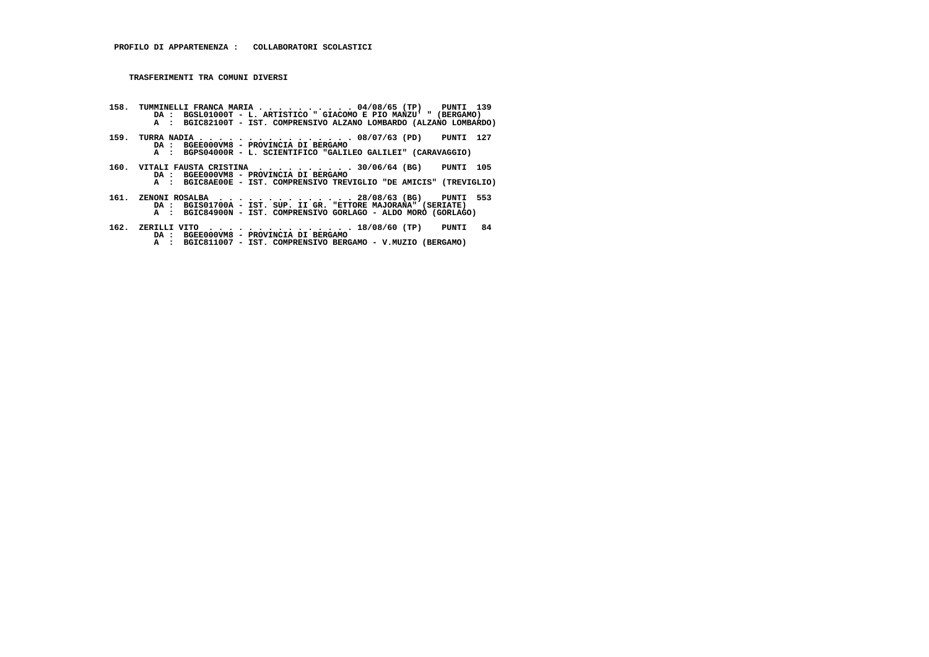- I58. TUMMINELLI FRANCA MARIA . . . . . . . . . 04/08/65 (TP) PUNTI 139<br>DA : BGSL01000T L. ARTISTICO "GIACOMO E PIO MANZU' "(BERGAMO)<br>A : BGIC82100T IST. COMPRENSIVO ALZANO LOMBARDO (ALZANO LOMBARDO)
- **159. TURRA NADIA . . . . . . . . . . . . . . . . 08/07/63 (PD) PUNTI 127 DA : BGEE000VM8 - PROVINCIA DI BERGAMO A : BGPS04000R - L. SCIENTIFICO "GALILEO GALILEI" (CARAVAGGIO)**
- **160. VITALI FAUSTA CRISTINA . . . . . . . . . . 30/06/64 (BG) PUNTI 105 DA : BGEE000VM8 PROVINCIA DI BERGAMO A : BGIC8AE00E IST. COMPRENSIVO TREVIGLIO "DE AMICIS" (TREVIGLIO)**
	-
- **161. ZENONI ROSALBA . . . . . . . . . . . . . . 28/08/63 (BG) PUNTI 553 DA : BGIS01700A IST. SUP. II GR. "ETTORE MAJORANA" (SERIATE) A : BGIC84900N - IST. COMPRENSIVO GORLAGO - ALDO MORO (GORLAGO)**
- **162. ZERILLI VITO . . . . . . . . . . . . . . . 18/08/60 (TP) PUNTI 84 DA : BGEE000VM8 PROVINCIA DI BERGAMO**
- **A : BGIC811007 IST. COMPRENSIVO BERGAMO V.MUZIO (BERGAMO)**